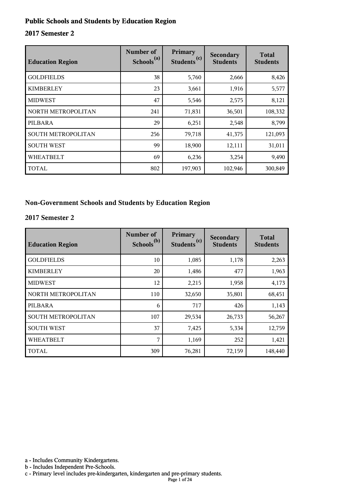#### **Public Schools and Students by Education Region**

#### **2017 Semester 2**

| <b>Education Region</b> | Number of<br>Schools <sup>(a)</sup> | Primary<br>(c)<br><b>Students</b> | Secondary<br><b>Students</b> | <b>Total</b><br><b>Students</b> |
|-------------------------|-------------------------------------|-----------------------------------|------------------------------|---------------------------------|
| <b>GOLDFIELDS</b>       | 38                                  | 5,760                             | 2,666                        | 8,426                           |
| <b>KIMBERLEY</b>        | 23                                  | 3,661                             | 1,916                        | 5,577                           |
| <b>MIDWEST</b>          | 47                                  | 5,546                             | 2,575                        | 8,121                           |
| NORTH METROPOLITAN      | 241                                 | 71,831                            | 36,501                       | 108,332                         |
| PILBARA                 | 29                                  | 6,251                             | 2,548                        | 8,799                           |
| SOUTH METROPOLITAN      | 256                                 | 79,718                            | 41,375                       | 121,093                         |
| <b>SOUTH WEST</b>       | 99                                  | 18,900                            | 12,111                       | 31,011                          |
| <b>WHEATBELT</b>        | 69                                  | 6,236                             | 3,254                        | 9,490                           |
| <b>TOTAL</b>            | 802                                 | 197,903                           | 102,946                      | 300,849                         |

#### **Non-Government Schools and Students by Education Region**

#### **2017 Semester 2**

| <b>Education Region</b> | Number of<br>Schools <sup>(b)</sup> | Primary<br>Students <sup>(c)</sup> | <b>Secondary</b><br><b>Students</b> | <b>Total</b><br><b>Students</b> |
|-------------------------|-------------------------------------|------------------------------------|-------------------------------------|---------------------------------|
| <b>GOLDFIELDS</b>       | 10                                  | 1,085                              | 1,178                               | 2,263                           |
| <b>KIMBERLEY</b>        | 20                                  | 1,486                              | 477                                 | 1,963                           |
| <b>MIDWEST</b>          | 12                                  | 2,215                              | 1,958                               | 4,173                           |
| NORTH METROPOLITAN      | 110                                 | 32,650                             | 35,801                              | 68,451                          |
| PILBARA                 | 6                                   | 717                                | 426                                 | 1,143                           |
| SOUTH METROPOLITAN      | 107                                 | 29,534                             | 26,733                              | 56,267                          |
| <b>SOUTH WEST</b>       | 37                                  | 7,425                              | 5,334                               | 12,759                          |
| <b>WHEATBELT</b>        | 7                                   | 1,169                              | 252                                 | 1,421                           |
| <b>TOTAL</b>            | 309                                 | 76,281                             | 72,159                              | 148,440                         |

a - Includes Community Kindergartens.

b - Includes Independent Pre-Schools.

c - Primary level includes pre-kindergarten, kindergarten and pre-primary students.

Page 1 of 24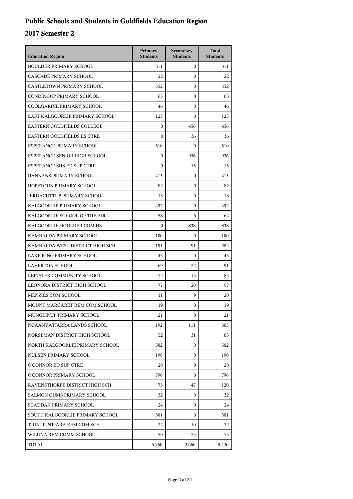## **Public Schools and Students in Goldfields Education Region**

| <b>Education Region</b>           | Primary<br><b>Students</b> | Secondary<br><b>Students</b> | <b>Total</b><br><b>Students</b> |
|-----------------------------------|----------------------------|------------------------------|---------------------------------|
| <b>BOULDER PRIMARY SCHOOL</b>     | 311                        | $\mathbf{0}$                 | 311                             |
| CASCADE PRIMARY SCHOOL            | 22                         | $\mathbf{0}$                 | 22                              |
| <b>CASTLETOWN PRIMARY SCHOOL</b>  | 552                        | $\mathbf{0}$                 | 552                             |
| CONDINGUP PRIMARY SCHOOL          | 63                         | $\mathbf{0}$                 | 63                              |
| COOLGARDIE PRIMARY SCHOOL         | 46                         | $\mathbf{0}$                 | 46                              |
| EAST KALGOORLIE PRIMARY SCHOOL    | 123                        | $\mathbf{0}$                 | 123                             |
| EASTERN GOLDFIELDS COLLEGE        | $\mathbf{0}$               | 456                          | 456                             |
| <b>EASTERN GOLDFIELDS ES CTRE</b> | $\boldsymbol{0}$           | 36                           | 36                              |
| ESPERANCE PRIMARY SCHOOL          | 510                        | $\mathbf{0}$                 | 510                             |
| ESPERANCE SENIOR HIGH SCHOOL      | $\boldsymbol{0}$           | 936                          | 936                             |
| <b>ESPERANCE SHS ED SUP CTRE</b>  | $\boldsymbol{0}$           | 15                           | 15                              |
| HANNANS PRIMARY SCHOOL            | 413                        | $\mathbf{0}$                 | 413                             |
| HOPETOUN PRIMARY SCHOOL           | 82                         | $\mathbf{0}$                 | 82                              |
| <b>JERDACUTTUP PRIMARY SCHOOL</b> | 13                         | $\mathbf{0}$                 | 13                              |
| KALGOORLIE PRIMARY SCHOOL         | 492                        | $\mathbf{0}$                 | 492                             |
| KALGOORLIE SCHOOL OF THE AIR      | 58                         | 6                            | 64                              |
| KALGOORLIE-BOULDER COM HS         | $\theta$                   | 838                          | 838                             |
| KAMBALDA PRIMARY SCHOOL           | 100                        | $\mathbf{0}$                 | 100                             |
| KAMBALDA WEST DISTRICT HIGH SCH   | 191                        | 91                           | 282                             |
| LAKE KING PRIMARY SCHOOL          | 45                         | $\Omega$                     | 45                              |
| <b>LAVERTON SCHOOL</b>            | 69                         | 22                           | 91                              |
| LEINSTER COMMUNITY SCHOOL         | 72                         | 13                           | 85                              |
| LEONORA DISTRICT HIGH SCHOOL      | 77                         | 20                           | 97                              |
| MENZIES COM SCHOOL                | 11                         | 9                            | 20                              |
| MOUNT MARGARET REM COM SCHOOL     | 19                         | $\mathbf{0}$                 | 19                              |
| MUNGLINUP PRIMARY SCHOOL          | 21                         | 0                            | 21                              |
| NGAANYATJARRA LANDS SCHOOL        | 192                        | 111                          | 303                             |
| NORSEMAN DISTRICT HIGH SCHOOL     | 52                         | 31                           | 83                              |
| NORTH KALGOORLIE PRIMARY SCHOOL   | 502                        | $\mathbf{0}$                 | 502                             |
| NULSEN PRIMARY SCHOOL             | 198                        | $\Omega$                     | 198                             |
| O'CONNOR ED SUP CTRE              | 28                         | 0                            | 28                              |
| O'CONNOR PRIMARY SCHOOL           | 796                        | $\Omega$                     | 796                             |
| RAVENSTHORPE DISTRICT HIGH SCH    | 73                         | 47                           | 120                             |
| SALMON GUMS PRIMARY SCHOOL        | 32                         | $\mathbf{0}$                 | 32                              |
| SCADDAN PRIMARY SCHOOL            | 24                         | $\Omega$                     | 24                              |
| SOUTH KALGOORLIE PRIMARY SCHOOL   | 501                        | $\Omega$                     | 501                             |
| TJUNTJUNTJARA REM COM SCH         | 22                         | 10                           | 32                              |
| WILUNA REM COMM SCHOOL            | 50                         | 25                           | 75                              |
| TOTAL                             | 5,760                      | 2,666                        | 8,426                           |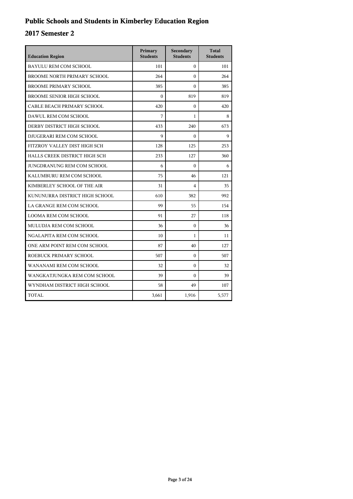## **Public Schools and Students in Kimberley Education Region**

| <b>Education Region</b>          | Primary<br><b>Students</b> | Secondary<br><b>Students</b> | <b>Total</b><br><b>Students</b> |
|----------------------------------|----------------------------|------------------------------|---------------------------------|
| <b>BAYULU REM COM SCHOOL</b>     | 101                        | $\Omega$                     | 101                             |
| BROOME NORTH PRIMARY SCHOOL      | 264                        | $\theta$                     | 264                             |
| <b>BROOME PRIMARY SCHOOL</b>     | 385                        | $\Omega$                     | 385                             |
| <b>BROOME SENIOR HIGH SCHOOL</b> | $\theta$                   | 819                          | 819                             |
| CABLE BEACH PRIMARY SCHOOL       | 420                        | $\mathbf{0}$                 | 420                             |
| DAWUL REM COM SCHOOL             | 7                          | 1                            | 8                               |
| DERBY DISTRICT HIGH SCHOOL       | 433                        | 240                          | 673                             |
| DJUGERARI REM COM SCHOOL         | $\mathbf Q$                | $\theta$                     | Q                               |
| FITZROY VALLEY DIST HIGH SCH     | 128                        | 125                          | 253                             |
| HALLS CREEK DISTRICT HIGH SCH    | 233                        | 127                          | 360                             |
| JUNGDRANUNG REM COM SCHOOL       | 6                          | $\Omega$                     | 6                               |
| KALUMBURU REM COM SCHOOL         | 75                         | 46                           | 121                             |
| KIMBERLEY SCHOOL OF THE AIR      | 31                         | $\overline{4}$               | 35                              |
| KUNUNURRA DISTRICT HIGH SCHOOL   | 610                        | 382                          | 992                             |
| LA GRANGE REM COM SCHOOL         | 99                         | 55                           | 154                             |
| <b>LOOMA REM COM SCHOOL</b>      | 91                         | 27                           | 118                             |
| MULUDJA REM COM SCHOOL           | 36                         | $\theta$                     | 36                              |
| NGALAPITA REM COM SCHOOL         | 10                         | 1                            | 11                              |
| ONE ARM POINT REM COM SCHOOL     | 87                         | 40                           | 127                             |
| ROEBUCK PRIMARY SCHOOL           | 507                        | $\mathbf{0}$                 | 507                             |
| WANANAMI REM COM SCHOOL          | 32                         | $\theta$                     | 32                              |
| WANGKATJUNGKA REM COM SCHOOL     | 39                         | $\theta$                     | 39                              |
| WYNDHAM DISTRICT HIGH SCHOOL     | 58                         | 49                           | 107                             |
| <b>TOTAL</b>                     | 3,661                      | 1,916                        | 5,577                           |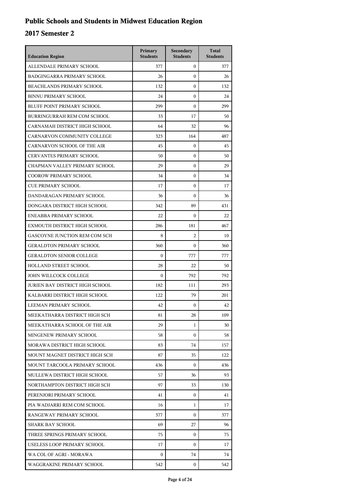## **Public Schools and Students in Midwest Education Region**

| <b>Education Region</b>                | Primary<br><b>Students</b> | Secondary<br><b>Students</b> | <b>Total</b><br><b>Students</b> |
|----------------------------------------|----------------------------|------------------------------|---------------------------------|
| ALLENDALE PRIMARY SCHOOL               | 377                        | $\overline{0}$               | 377                             |
| <b>BADGINGARRA PRIMARY SCHOOL</b>      | 26                         | $\Omega$                     | 26                              |
| <b>BEACHLANDS PRIMARY SCHOOL</b>       | 132                        | $\boldsymbol{0}$             | 132                             |
| <b>BINNU PRIMARY SCHOOL</b>            | 24                         | $\mathbf{0}$                 | 24                              |
| BLUFF POINT PRIMARY SCHOOL             | 299                        | $\mathbf{0}$                 | 299                             |
| BURRINGURRAH REM COM SCHOOL            | 33                         | 17                           | 50                              |
| CARNAMAH DISTRICT HIGH SCHOOL          | 64                         | 32                           | 96                              |
| CARNARVON COMMUNITY COLLEGE            | 323                        | 164                          | 487                             |
| CARNARVON SCHOOL OF THE AIR            | 45                         | $\mathbf{0}$                 | 45                              |
| <b>CERVANTES PRIMARY SCHOOL</b>        | 50                         | $\mathbf{0}$                 | 50                              |
| CHAPMAN VALLEY PRIMARY SCHOOL          | 29                         | $\mathbf{0}$                 | 29                              |
| <b>COOROW PRIMARY SCHOOL</b>           | 34                         | $\mathbf{0}$                 | 34                              |
| <b>CUE PRIMARY SCHOOL</b>              | 17                         | $\boldsymbol{0}$             | 17                              |
| DANDARAGAN PRIMARY SCHOOL              | 36                         | $\boldsymbol{0}$             | 36                              |
| DONGARA DISTRICT HIGH SCHOOL           | 342                        | 89                           | 431                             |
| ENEABBA PRIMARY SCHOOL                 | 22                         | $\mathbf{0}$                 | 22                              |
| EXMOUTH DISTRICT HIGH SCHOOL           | 286                        | 181                          | 467                             |
| GASCOYNE JUNCTION REM COM SCH          | 8                          | $\overline{2}$               | 10                              |
| <b>GERALDTON PRIMARY SCHOOL</b>        | 360                        | $\mathbf{0}$                 | 360                             |
| <b>GERALDTON SENIOR COLLEGE</b>        | $\mathbf{0}$               | 777                          | 777                             |
| <b>HOLLAND STREET SCHOOL</b>           | 28                         | 22                           | 50                              |
| JOHN WILLCOCK COLLEGE                  | $\theta$                   | 792                          | 792                             |
| <b>JURIEN BAY DISTRICT HIGH SCHOOL</b> | 182                        | 111                          | 293                             |
| KALBARRI DISTRICT HIGH SCHOOL          | 122                        | 79                           | 201                             |
| LEEMAN PRIMARY SCHOOL                  | 42                         | $\mathbf{0}$                 | 42                              |
| MEEKATHARRA DISTRICT HIGH SCH          | 81                         | 28                           | 109                             |
| MEEKATHARRA SCHOOL OF THE AIR          | 29                         | $\mathbf{1}$                 | 30                              |
| MINGENEW PRIMARY SCHOOL                | 58                         | $\mathbf{0}$                 | 58                              |
| MORAWA DISTRICT HIGH SCHOOL            | 83                         | 74                           | 157                             |
| MOUNT MAGNET DISTRICT HIGH SCH         | 87                         | 35                           | 122                             |
| MOUNT TARCOOLA PRIMARY SCHOOL          | 436                        | $\Omega$                     | 436                             |
| MULLEWA DISTRICT HIGH SCHOOL           | 57                         | 36                           | 93                              |
| NORTHAMPTON DISTRICT HIGH SCH          | 97                         | 33                           | 130                             |
| PERENJORI PRIMARY SCHOOL               | 41                         | $\mathbf{0}$                 | 41                              |
| PIA WADJARRI REM COM SCHOOL            | 16                         | 1                            | 17                              |
| RANGEWAY PRIMARY SCHOOL                | 377                        | $\Omega$                     | 377                             |
| SHARK BAY SCHOOL                       | 69                         | 27                           | 96                              |
| THREE SPRINGS PRIMARY SCHOOL           | 75                         | $\mathbf{0}$                 | 75                              |
| USELESS LOOP PRIMARY SCHOOL            | 17                         | $\mathbf{0}$                 | 17                              |
| WA COL OF AGRI - MORAWA                | $\mathbf{0}$               | 74                           | 74                              |
| WAGGRAKINE PRIMARY SCHOOL              | 542                        | $\mathbf{0}$                 | 542                             |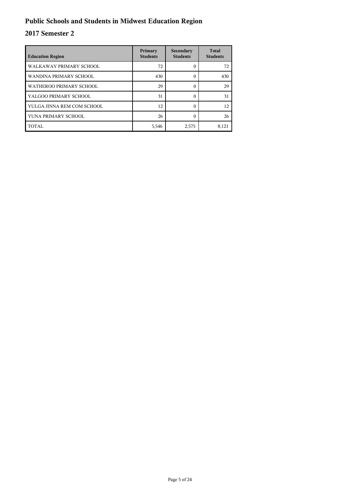## **Public Schools and Students in Midwest Education Region**

| <b>Education Region</b>    | Primary<br><b>Students</b> | Secondary<br><b>Students</b> | <b>Total</b><br><b>Students</b> |
|----------------------------|----------------------------|------------------------------|---------------------------------|
| WALKAWAY PRIMARY SCHOOL    | 72                         | C                            | 72                              |
| WANDINA PRIMARY SCHOOL     | 430                        | 0                            | 430                             |
| WATHEROO PRIMARY SCHOOL    | 29                         | 0                            | 29                              |
| YALGOO PRIMARY SCHOOL      | 31                         | 0                            | 31                              |
| YULGA JINNA REM COM SCHOOL | 12                         | $\Omega$                     | 12                              |
| YUNA PRIMARY SCHOOL        | 26                         |                              | 26                              |
| TOTAL                      | 5,546                      | 2,575                        | 8,121                           |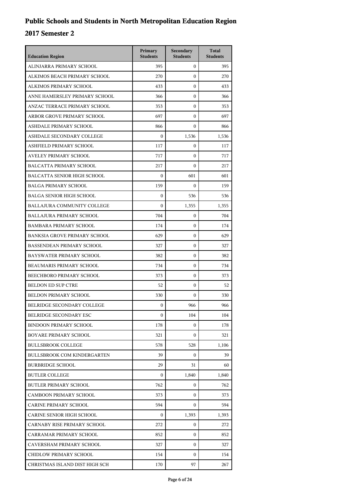| <b>Education Region</b>             | Primary<br><b>Students</b> | Secondary<br><b>Students</b> | <b>Total</b><br><b>Students</b> |
|-------------------------------------|----------------------------|------------------------------|---------------------------------|
| ALINJARRA PRIMARY SCHOOL            | 395                        | $\mathbf{0}$                 | 395                             |
| ALKIMOS BEACH PRIMARY SCHOOL        | 270                        | $\boldsymbol{0}$             | 270                             |
| ALKIMOS PRIMARY SCHOOL              | 433                        | $\boldsymbol{0}$             | 433                             |
| ANNE HAMERSLEY PRIMARY SCHOOL       | 366                        | $\boldsymbol{0}$             | 366                             |
| ANZAC TERRACE PRIMARY SCHOOL        | 353                        | $\mathbf{0}$                 | 353                             |
| ARBOR GROVE PRIMARY SCHOOL          | 697                        | $\mathbf{0}$                 | 697                             |
| ASHDALE PRIMARY SCHOOL              | 866                        | $\boldsymbol{0}$             | 866                             |
| ASHDALE SECONDARY COLLEGE           | $\mathbf{0}$               | 1,536                        | 1,536                           |
| ASHFIELD PRIMARY SCHOOL             | 117                        | $\boldsymbol{0}$             | 117                             |
| AVELEY PRIMARY SCHOOL               | 717                        | 0                            | 717                             |
| <b>BALCATTA PRIMARY SCHOOL</b>      | 217                        | $\mathbf{0}$                 | 217                             |
| <b>BALCATTA SENIOR HIGH SCHOOL</b>  | $\boldsymbol{0}$           | 601                          | 601                             |
| <b>BALGA PRIMARY SCHOOL</b>         | 159                        | $\boldsymbol{0}$             | 159                             |
| <b>BALGA SENIOR HIGH SCHOOL</b>     | $\boldsymbol{0}$           | 536                          | 536                             |
| <b>BALLAJURA COMMUNITY COLLEGE</b>  | $\boldsymbol{0}$           | 1,355                        | 1,355                           |
| <b>BALLAJURA PRIMARY SCHOOL</b>     | 704                        | $\mathbf{0}$                 | 704                             |
| <b>BAMBARA PRIMARY SCHOOL</b>       | 174                        | $\boldsymbol{0}$             | 174                             |
| <b>BANKSIA GROVE PRIMARY SCHOOL</b> | 629                        | $\boldsymbol{0}$             | 629                             |
| <b>BASSENDEAN PRIMARY SCHOOL</b>    | 327                        | $\boldsymbol{0}$             | 327                             |
| BAYSWATER PRIMARY SCHOOL            | 382                        | $\mathbf{0}$                 | 382                             |
| BEAUMARIS PRIMARY SCHOOL            | 734                        | $\mathbf{0}$                 | 734                             |
| BEECHBORO PRIMARY SCHOOL            | 373                        | $\boldsymbol{0}$             | 373                             |
| <b>BELDON ED SUP CTRE</b>           | 52                         | $\boldsymbol{0}$             | 52                              |
| BELDON PRIMARY SCHOOL               | 330                        | $\mathbf{0}$                 | 330                             |
| BELRIDGE SECONDARY COLLEGE          | $\mathbf{0}$               | 966                          | 966                             |
| <b>BELRIDGE SECONDARY ESC</b>       | $\mathbf{0}$               | 104                          | 104                             |
| <b>BINDOON PRIMARY SCHOOL</b>       | 178                        | 0                            | 178                             |
| BOYARE PRIMARY SCHOOL               | 321                        | $\mathbf{0}$                 | 321                             |
| <b>BULLSBROOK COLLEGE</b>           | 578                        | 528                          | 1,106                           |
| <b>BULLSBROOK COM KINDERGARTEN</b>  | 39                         | $\mathbf{0}$                 | 39                              |
| <b>BURBRIDGE SCHOOL</b>             | 29                         | 31                           | 60                              |
| <b>BUTLER COLLEGE</b>               | $\mathbf{0}$               | 1,840                        | 1,840                           |
| <b>BUTLER PRIMARY SCHOOL</b>        | 762                        | $\mathbf{0}$                 | 762                             |
| <b>CAMBOON PRIMARY SCHOOL</b>       | 373                        | 0                            | 373                             |
| CARINE PRIMARY SCHOOL               | 594                        | $\mathbf{0}$                 | 594                             |
| CARINE SENIOR HIGH SCHOOL           | $\mathbf{0}$               | 1,393                        | 1,393                           |
| CARNABY RISE PRIMARY SCHOOL         | 272                        | 0                            | 272                             |
| CARRAMAR PRIMARY SCHOOL             | 852                        | $\mathbf{0}$                 | 852                             |
| CAVERSHAM PRIMARY SCHOOL            | 327                        | 0                            | 327                             |
| CHIDLOW PRIMARY SCHOOL              | 154                        | $\mathbf{0}$                 | 154                             |
| CHRISTMAS ISLAND DIST HIGH SCH      | 170                        | 97                           | 267                             |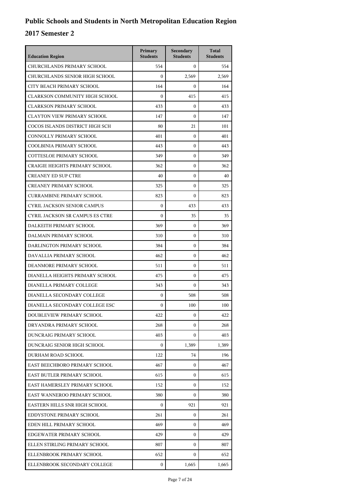| <b>Education Region</b>               | Primary<br><b>Students</b> | Secondary<br><b>Students</b> | <b>Total</b><br><b>Students</b> |
|---------------------------------------|----------------------------|------------------------------|---------------------------------|
| CHURCHLANDS PRIMARY SCHOOL            | 554                        | $\mathbf{0}$                 | 554                             |
| CHURCHLANDS SENIOR HIGH SCHOOL        | $\mathbf{0}$               | 2,569                        | 2,569                           |
| CITY BEACH PRIMARY SCHOOL             | 164                        | $\mathbf{0}$                 | 164                             |
| <b>CLARKSON COMMUNITY HIGH SCHOOL</b> | $\boldsymbol{0}$           | 415                          | 415                             |
| <b>CLARKSON PRIMARY SCHOOL</b>        | 433                        | $\mathbf{0}$                 | 433                             |
| <b>CLAYTON VIEW PRIMARY SCHOOL</b>    | 147                        | $\boldsymbol{0}$             | 147                             |
| COCOS ISLANDS DISTRICT HIGH SCH       | 80                         | 21                           | 101                             |
| CONNOLLY PRIMARY SCHOOL               | 401                        | $\boldsymbol{0}$             | 401                             |
| COOLBINIA PRIMARY SCHOOL              | 443                        | $\boldsymbol{0}$             | 443                             |
| <b>COTTESLOE PRIMARY SCHOOL</b>       | 349                        | $\boldsymbol{0}$             | 349                             |
| <b>CRAIGIE HEIGHTS PRIMARY SCHOOL</b> | 362                        | $\boldsymbol{0}$             | 362                             |
| <b>CREANEY ED SUP CTRE</b>            | 40                         | $\mathbf{0}$                 | 40                              |
| <b>CREANEY PRIMARY SCHOOL</b>         | 325                        | $\boldsymbol{0}$             | 325                             |
| <b>CURRAMBINE PRIMARY SCHOOL</b>      | 823                        | $\boldsymbol{0}$             | 823                             |
| <b>CYRIL JACKSON SENIOR CAMPUS</b>    | $\boldsymbol{0}$           | 433                          | 433                             |
| CYRIL JACKSON SR CAMPUS ES CTRE       | $\boldsymbol{0}$           | 35                           | 35                              |
| DALKEITH PRIMARY SCHOOL               | 369                        | $\mathbf{0}$                 | 369                             |
| DALMAIN PRIMARY SCHOOL                | 310                        | $\boldsymbol{0}$             | 310                             |
| DARLINGTON PRIMARY SCHOOL             | 384                        | $\boldsymbol{0}$             | 384                             |
| DAVALLIA PRIMARY SCHOOL               | 462                        | $\boldsymbol{0}$             | 462                             |
| DEANMORE PRIMARY SCHOOL               | 511                        | $\mathbf{0}$                 | 511                             |
| DIANELLA HEIGHTS PRIMARY SCHOOL       | 475                        | $\mathbf{0}$                 | 475                             |
| DIANELLA PRIMARY COLLEGE              | 343                        | $\boldsymbol{0}$             | 343                             |
| DIANELLA SECONDARY COLLEGE            | $\boldsymbol{0}$           | 508                          | 508                             |
| DIANELLA SECONDARY COLLEGE ESC        | $\mathbf{0}$               | 100                          | 100                             |
| DOUBLEVIEW PRIMARY SCHOOL             | 422                        | 0                            | 422                             |
| DRYANDRA PRIMARY SCHOOL               | 268                        | 0                            | 268                             |
| DUNCRAIG PRIMARY SCHOOL               | 403                        | 0                            | 403                             |
| DUNCRAIG SENIOR HIGH SCHOOL           | $\mathbf{0}$               | 1,389                        | 1,389                           |
| DURHAM ROAD SCHOOL                    | 122                        | 74                           | 196                             |
| EAST BEECHBORO PRIMARY SCHOOL         | 467                        | 0                            | 467                             |
| EAST BUTLER PRIMARY SCHOOL            | 615                        | $\Omega$                     | 615                             |
| EAST HAMERSLEY PRIMARY SCHOOL         | 152                        | $\mathbf{0}$                 | 152                             |
| EAST WANNEROO PRIMARY SCHOOL          | 380                        | $\mathbf{0}$                 | 380                             |
| EASTERN HILLS SNR HIGH SCHOOL         | 0                          | 921                          | 921                             |
| EDDYSTONE PRIMARY SCHOOL              | 261                        | 0                            | 261                             |
| EDEN HILL PRIMARY SCHOOL              | 469                        | $\mathbf{0}$                 | 469                             |
| EDGEWATER PRIMARY SCHOOL              | 429                        | 0                            | 429                             |
| ELLEN STIRLING PRIMARY SCHOOL         | 807                        | 0                            | 807                             |
| ELLENBROOK PRIMARY SCHOOL             | 652                        | 0                            | 652                             |
| ELLENBROOK SECONDARY COLLEGE          | 0                          | 1,665                        | 1,665                           |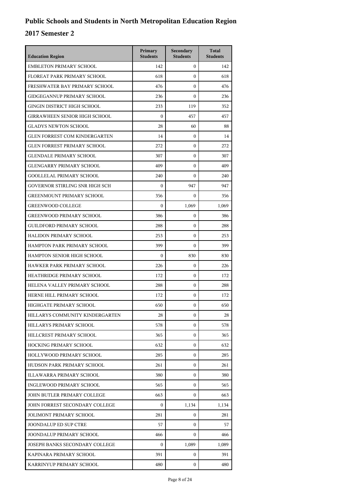| <b>Education Region</b>              | Primary<br><b>Students</b> | Secondary<br><b>Students</b> | <b>Total</b><br><b>Students</b> |
|--------------------------------------|----------------------------|------------------------------|---------------------------------|
| <b>EMBLETON PRIMARY SCHOOL</b>       | 142                        | $\mathbf{0}$                 | 142                             |
| FLOREAT PARK PRIMARY SCHOOL          | 618                        | $\boldsymbol{0}$             | 618                             |
| FRESHWATER BAY PRIMARY SCHOOL        | 476                        | $\boldsymbol{0}$             | 476                             |
| <b>GIDGEGANNUP PRIMARY SCHOOL</b>    | 236                        | $\boldsymbol{0}$             | 236                             |
| GINGIN DISTRICT HIGH SCHOOL          | 233                        | 119                          | 352                             |
| <b>GIRRAWHEEN SENIOR HIGH SCHOOL</b> | $\boldsymbol{0}$           | 457                          | 457                             |
| <b>GLADYS NEWTON SCHOOL</b>          | 28                         | 60                           | 88                              |
| <b>GLEN FORREST COM KINDERGARTEN</b> | 14                         | $\boldsymbol{0}$             | 14                              |
| <b>GLEN FORREST PRIMARY SCHOOL</b>   | 272                        | $\boldsymbol{0}$             | 272                             |
| <b>GLENDALE PRIMARY SCHOOL</b>       | 307                        | $\mathbf{0}$                 | 307                             |
| <b>GLENGARRY PRIMARY SCHOOL</b>      | 409                        | $\boldsymbol{0}$             | 409                             |
| <b>GOOLLELAL PRIMARY SCHOOL</b>      | 240                        | $\boldsymbol{0}$             | 240                             |
| GOVERNOR STIRLING SNR HIGH SCH       | $\boldsymbol{0}$           | 947                          | 947                             |
| <b>GREENMOUNT PRIMARY SCHOOL</b>     | 356                        | $\boldsymbol{0}$             | 356                             |
| <b>GREENWOOD COLLEGE</b>             | $\theta$                   | 1,069                        | 1,069                           |
| <b>GREENWOOD PRIMARY SCHOOL</b>      | 386                        | $\boldsymbol{0}$             | 386                             |
| <b>GUILDFORD PRIMARY SCHOOL</b>      | 288                        | $\boldsymbol{0}$             | 288                             |
| <b>HALIDON PRIMARY SCHOOL</b>        | 253                        | $\boldsymbol{0}$             | 253                             |
| HAMPTON PARK PRIMARY SCHOOL          | 399                        | $\boldsymbol{0}$             | 399                             |
| HAMPTON SENIOR HIGH SCHOOL           | $\theta$                   | 830                          | 830                             |
| HAWKER PARK PRIMARY SCHOOL           | 226                        | $\boldsymbol{0}$             | 226                             |
| HEATHRIDGE PRIMARY SCHOOL            | 172                        | $\boldsymbol{0}$             | 172                             |
| HELENA VALLEY PRIMARY SCHOOL         | 288                        | $\boldsymbol{0}$             | 288                             |
| HERNE HILL PRIMARY SCHOOL            | 172                        | $\boldsymbol{0}$             | 172                             |
| HIGHGATE PRIMARY SCHOOL              | 650                        | $\mathbf{0}$                 | 650                             |
| HILLARYS COMMUNITY KINDERGARTEN      | 28                         | 0                            | 28                              |
| HILLARYS PRIMARY SCHOOL              | 578                        | 0                            | 578                             |
| HILLCREST PRIMARY SCHOOL             | 365                        | $\mathbf{0}$                 | 365                             |
| HOCKING PRIMARY SCHOOL               | 632                        | $\mathbf{0}$                 | 632                             |
| HOLLYWOOD PRIMARY SCHOOL             | 285                        | $\mathbf{0}$                 | 285                             |
| HUDSON PARK PRIMARY SCHOOL           | 261                        | $\mathbf{0}$                 | 261                             |
| ILLAWARRA PRIMARY SCHOOL             | 380                        | 0                            | 380                             |
| INGLEWOOD PRIMARY SCHOOL             | 565                        | $\mathbf{0}$                 | 565                             |
| JOHN BUTLER PRIMARY COLLEGE          | 663                        | 0                            | 663                             |
| JOHN FORREST SECONDARY COLLEGE       | 0                          | 1,134                        | 1,134                           |
| <b>JOLIMONT PRIMARY SCHOOL</b>       | 281                        | $\mathbf{0}$                 | 281                             |
| <b>JOONDALUP ED SUP CTRE</b>         | 57                         | $\mathbf{0}$                 | 57                              |
| JOONDALUP PRIMARY SCHOOL             | 466                        | 0                            | 466                             |
| JOSEPH BANKS SECONDARY COLLEGE       | $\Omega$                   | 1,089                        | 1,089                           |
| KAPINARA PRIMARY SCHOOL              | 391                        | $\mathbf{0}$                 | 391                             |
| KARRINYUP PRIMARY SCHOOL             | 480                        | $\mathbf{0}$                 | 480                             |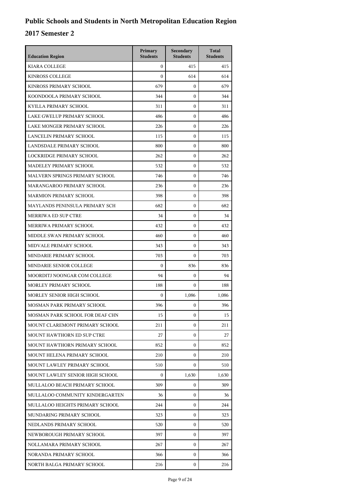| <b>Education Region</b>         | Primary<br><b>Students</b> | Secondary<br><b>Students</b> | <b>Total</b><br><b>Students</b> |
|---------------------------------|----------------------------|------------------------------|---------------------------------|
| <b>KIARA COLLEGE</b>            | $\mathbf{0}$               | 415                          | 415                             |
| <b>KINROSS COLLEGE</b>          | $\Omega$                   | 614                          | 614                             |
| KINROSS PRIMARY SCHOOL          | 679                        | $\mathbf{0}$                 | 679                             |
| KOONDOOLA PRIMARY SCHOOL        | 344                        | $\mathbf{0}$                 | 344                             |
| KYILLA PRIMARY SCHOOL           | 311                        | $\mathbf{0}$                 | 311                             |
| LAKE GWELUP PRIMARY SCHOOL      | 486                        | $\mathbf{0}$                 | 486                             |
| LAKE MONGER PRIMARY SCHOOL      | 226                        | $\mathbf{0}$                 | 226                             |
| <b>LANCELIN PRIMARY SCHOOL</b>  | 115                        | $\mathbf{0}$                 | 115                             |
| LANDSDALE PRIMARY SCHOOL        | 800                        | $\mathbf{0}$                 | 800                             |
| LOCKRIDGE PRIMARY SCHOOL        | 262                        | $\mathbf{0}$                 | 262                             |
| MADELEY PRIMARY SCHOOL          | 532                        | $\mathbf{0}$                 | 532                             |
| MALVERN SPRINGS PRIMARY SCHOOL  | 746                        | $\mathbf{0}$                 | 746                             |
| MARANGAROO PRIMARY SCHOOL       | 236                        | $\mathbf{0}$                 | 236                             |
| <b>MARMION PRIMARY SCHOOL</b>   | 398                        | $\mathbf{0}$                 | 398                             |
| MAYLANDS PENINSULA PRIMARY SCH  | 682                        | $\mathbf{0}$                 | 682                             |
| MERRIWA ED SUP CTRE             | 34                         | $\mathbf{0}$                 | 34                              |
| MERRIWA PRIMARY SCHOOL          | 432                        | $\mathbf{0}$                 | 432                             |
| MIDDLE SWAN PRIMARY SCHOOL      | 460                        | $\mathbf{0}$                 | 460                             |
| MIDVALE PRIMARY SCHOOL          | 343                        | $\mathbf{0}$                 | 343                             |
| MINDARIE PRIMARY SCHOOL         | 703                        | $\mathbf{0}$                 | 703                             |
| MINDARIE SENIOR COLLEGE         | $\mathbf{0}$               | 836                          | 836                             |
| MOORDITJ NOONGAR COM COLLEGE    | 94                         | $\mathbf{0}$                 | 94                              |
| MORLEY PRIMARY SCHOOL           | 188                        | $\mathbf{0}$                 | 188                             |
| MORLEY SENIOR HIGH SCHOOL       | $\mathbf{0}$               | 1,086                        | 1,086                           |
| MOSMAN PARK PRIMARY SCHOOL      | 396                        | $\mathbf{0}$                 | 396                             |
| MOSMAN PARK SCHOOL FOR DEAF CHN | 15                         | 0                            | 15                              |
| MOUNT CLAREMONT PRIMARY SCHOOL  | 211                        | $\mathbf{0}$                 | 211                             |
| MOUNT HAWTHORN ED SUP CTRE      | 27                         | $\mathbf{0}$                 | 27                              |
| MOUNT HAWTHORN PRIMARY SCHOOL   | 852                        | 0                            | 852                             |
| MOUNT HELENA PRIMARY SCHOOL     | 210                        | $\mathbf{0}$                 | 210                             |
| MOUNT LAWLEY PRIMARY SCHOOL     | 510                        | $\mathbf{0}$                 | 510                             |
| MOUNT LAWLEY SENIOR HIGH SCHOOL | $\overline{0}$             | 1,630                        | 1,630                           |
| MULLALOO BEACH PRIMARY SCHOOL   | 309                        | $\mathbf{0}$                 | 309                             |
| MULLALOO COMMUNITY KINDERGARTEN | 36                         | $\mathbf{0}$                 | 36                              |
| MULLALOO HEIGHTS PRIMARY SCHOOL | 244                        | $\mathbf{0}$                 | 244                             |
| MUNDARING PRIMARY SCHOOL        | 323                        | $\mathbf{0}$                 | 323                             |
| NEDLANDS PRIMARY SCHOOL         | 520                        | $\mathbf{0}$                 | 520                             |
| NEWBOROUGH PRIMARY SCHOOL       | 397                        | $\mathbf{0}$                 | 397                             |
| NOLLAMARA PRIMARY SCHOOL        | 267                        | $\mathbf{0}$                 | 267                             |
| NORANDA PRIMARY SCHOOL          | 366                        | $\mathbf{0}$                 | 366                             |
| NORTH BALGA PRIMARY SCHOOL      | 216                        | $\mathbf{0}$                 | 216                             |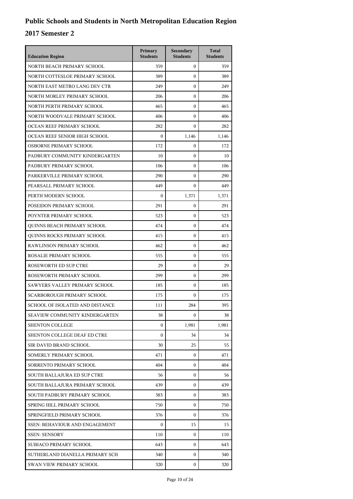| <b>Education Region</b>         | Primary<br><b>Students</b> | Secondary<br><b>Students</b> | <b>Total</b><br><b>Students</b> |
|---------------------------------|----------------------------|------------------------------|---------------------------------|
| NORTH BEACH PRIMARY SCHOOL      | 359                        | $\overline{0}$               | 359                             |
| NORTH COTTESLOE PRIMARY SCHOOL  | 389                        | 0                            | 389                             |
| NORTH EAST METRO LANG DEV CTR   | 249                        | $\overline{0}$               | 249                             |
| NORTH MORLEY PRIMARY SCHOOL     | 206                        | 0                            | 206                             |
| NORTH PERTH PRIMARY SCHOOL      | 465                        | 0                            | 465                             |
| NORTH WOODVALE PRIMARY SCHOOL   | 406                        | $\overline{0}$               | 406                             |
| OCEAN REEF PRIMARY SCHOOL       | 282                        | 0                            | 282                             |
| OCEAN REEF SENIOR HIGH SCHOOL   | $\mathbf{0}$               | 1,146                        | 1,146                           |
| OSBORNE PRIMARY SCHOOL          | 172                        | 0                            | 172                             |
| PADBURY COMMUNITY KINDERGARTEN  | 10                         | 0                            | 10                              |
| PADBURY PRIMARY SCHOOL          | 106                        | $\overline{0}$               | 106                             |
| PARKERVILLE PRIMARY SCHOOL      | 290                        | 0                            | 290                             |
| PEARSALL PRIMARY SCHOOL         | 449                        | $\overline{0}$               | 449                             |
| PERTH MODERN SCHOOL             | $\boldsymbol{0}$           | 1,371                        | 1,371                           |
| POSEIDON PRIMARY SCHOOL         | 291                        | 0                            | 291                             |
| POYNTER PRIMARY SCHOOL          | 523                        | $\overline{0}$               | 523                             |
| QUINNS BEACH PRIMARY SCHOOL     | 474                        | 0                            | 474                             |
| QUINNS ROCKS PRIMARY SCHOOL     | 415                        | $\overline{0}$               | 415                             |
| RAWLINSON PRIMARY SCHOOL        | 462                        | 0                            | 462                             |
| ROSALIE PRIMARY SCHOOL          | 555                        | 0                            | 555                             |
| ROSEWORTH ED SUP CTRE           | 29                         | $\overline{0}$               | 29                              |
| ROSEWORTH PRIMARY SCHOOL        | 299                        | 0                            | 299                             |
| SAWYERS VALLEY PRIMARY SCHOOL   | 185                        | $\overline{0}$               | 185                             |
| SCARBOROUGH PRIMARY SCHOOL      | 175                        | 0                            | 175                             |
| SCHOOL OF ISOLATED AND DISTANCE | 111                        | 284                          | 395                             |
| SEAVIEW COMMUNITY KINDERGARTEN  | 38                         | 0                            | 38                              |
| <b>SHENTON COLLEGE</b>          | $\overline{0}$             | 1,981                        | 1,981                           |
| SHENTON COLLEGE DEAF ED CTRE    | $\overline{0}$             | 34                           | 34                              |
| SIR DAVID BRAND SCHOOL          | 30                         | 25                           | 55                              |
| SOMERLY PRIMARY SCHOOL          | 471                        | 0                            | 471                             |
| SORRENTO PRIMARY SCHOOL         | 404                        | 0                            | 404                             |
| SOUTH BALLAJURA ED SUP CTRE     | 56                         | 0                            | 56                              |
| SOUTH BALLAJURA PRIMARY SCHOOL  | 439                        | 0                            | 439                             |
| SOUTH PADBURY PRIMARY SCHOOL    | 383                        | 0                            | 383                             |
| SPRING HILL PRIMARY SCHOOL      | 750                        | 0                            | 750                             |
| SPRINGFIELD PRIMARY SCHOOL      | 376                        | 0                            | 376                             |
| SSEN: BEHAVIOUR AND ENGAGEMENT  | $\mathbf{0}$               | 15                           | 15                              |
| <b>SSEN: SENSORY</b>            | 110                        | 0                            | 110                             |
| SUBIACO PRIMARY SCHOOL          | 643                        | 0                            | 643                             |
| SUTHERLAND DIANELLA PRIMARY SCH | 340                        | 0                            | 340                             |
| SWAN VIEW PRIMARY SCHOOL        | 320                        | 0                            | 320                             |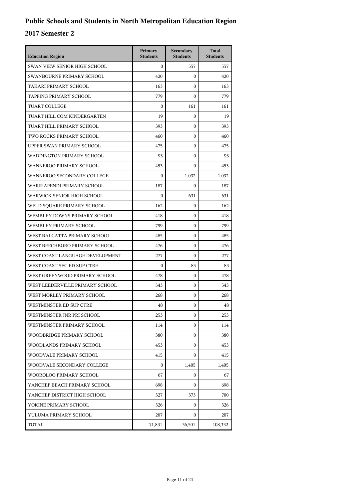| <b>Education Region</b>           | Primary<br><b>Students</b> | Secondary<br><b>Students</b> | <b>Total</b><br><b>Students</b> |
|-----------------------------------|----------------------------|------------------------------|---------------------------------|
| SWAN VIEW SENIOR HIGH SCHOOL      | $\Omega$                   | 557                          | 557                             |
| SWANBOURNE PRIMARY SCHOOL         | 420                        | $\mathbf{0}$                 | 420                             |
| TAKARI PRIMARY SCHOOL             | 163                        | $\boldsymbol{0}$             | 163                             |
| TAPPING PRIMARY SCHOOL            | 779                        | $\mathbf{0}$                 | 779                             |
| <b>TUART COLLEGE</b>              | $\boldsymbol{0}$           | 161                          | 161                             |
| TUART HILL COM KINDERGARTEN       | 19                         | $\boldsymbol{0}$             | 19                              |
| TUART HILL PRIMARY SCHOOL         | 393                        | $\boldsymbol{0}$             | 393                             |
| TWO ROCKS PRIMARY SCHOOL          | 460                        | $\boldsymbol{0}$             | 460                             |
| UPPER SWAN PRIMARY SCHOOL         | 475                        | $\mathbf{0}$                 | 475                             |
| WADDINGTON PRIMARY SCHOOL         | 93                         | $\boldsymbol{0}$             | 93                              |
| <b>WANNEROO PRIMARY SCHOOL</b>    | 453                        | $\boldsymbol{0}$             | 453                             |
| WANNEROO SECONDARY COLLEGE        | $\boldsymbol{0}$           | 1,032                        | 1,032                           |
| WARRIAPENDI PRIMARY SCHOOL        | 187                        | $\boldsymbol{0}$             | 187                             |
| <b>WARWICK SENIOR HIGH SCHOOL</b> | $\boldsymbol{0}$           | 631                          | 631                             |
| WELD SOUARE PRIMARY SCHOOL        | 162                        | $\boldsymbol{0}$             | 162                             |
| WEMBLEY DOWNS PRIMARY SCHOOL      | 418                        | $\boldsymbol{0}$             | 418                             |
| WEMBLEY PRIMARY SCHOOL            | 799                        | $\boldsymbol{0}$             | 799                             |
| WEST BALCATTA PRIMARY SCHOOL      | 485                        | $\boldsymbol{0}$             | 485                             |
| WEST BEECHBORO PRIMARY SCHOOL     | 476                        | $\mathbf{0}$                 | 476                             |
| WEST COAST LANGUAGE DEVELOPMENT   | 277                        | $\mathbf{0}$                 | 277                             |
| WEST COAST SEC ED SUP CTRE        | $\boldsymbol{0}$           | 83                           | 83                              |
| WEST GREENWOOD PRIMARY SCHOOL     | 478                        | $\boldsymbol{0}$             | 478                             |
| WEST LEEDERVILLE PRIMARY SCHOOL   | 543                        | $\boldsymbol{0}$             | 543                             |
| WEST MORLEY PRIMARY SCHOOL        | 268                        | $\mathbf{0}$                 | 268                             |
| WESTMINSTER ED SUP CTRE           | 48                         | 0                            | 48                              |
| WESTMINSTER JNR PRI SCHOOL        | 253                        | $\boldsymbol{0}$             | 253                             |
| WESTMINSTER PRIMARY SCHOOL        | 114                        | $\mathbf{0}$                 | 114                             |
| WOODBRIDGE PRIMARY SCHOOL         | 380                        | $\mathbf{0}$                 | 380                             |
| WOODLANDS PRIMARY SCHOOL          | 453                        | $\mathbf{0}$                 | 453                             |
| WOODVALE PRIMARY SCHOOL           | 415                        | 0                            | 415                             |
| WOODVALE SECONDARY COLLEGE        | $\overline{0}$             | 1,405                        | 1,405                           |
| WOOROLOO PRIMARY SCHOOL           | 67                         | 0                            | 67                              |
| YANCHEP BEACH PRIMARY SCHOOL      | 698                        | $\mathbf{0}$                 | 698                             |
| YANCHEP DISTRICT HIGH SCHOOL      | 327                        | 373                          | 700                             |
| YOKINE PRIMARY SCHOOL             | 326                        | 0                            | 326                             |
| YULUMA PRIMARY SCHOOL             | 207                        | 0                            | 207                             |
| TOTAL                             | 71,831                     | 36,501                       | 108,332                         |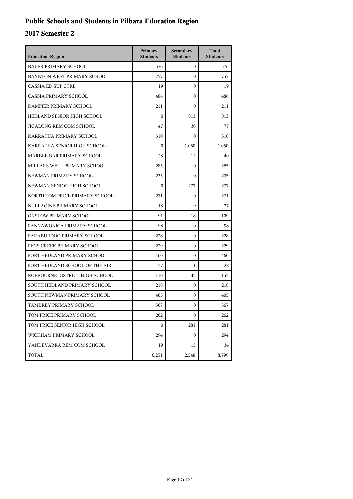## **Public Schools and Students in Pilbara Education Region**

| <b>Education Region</b>        | Primary<br><b>Students</b> | Secondary<br><b>Students</b> | <b>Total</b><br><b>Students</b> |
|--------------------------------|----------------------------|------------------------------|---------------------------------|
| <b>BALER PRIMARY SCHOOL</b>    | 576                        | $\boldsymbol{0}$             | 576                             |
| BAYNTON WEST PRIMARY SCHOOL    | 757                        | $\mathbf{0}$                 | 757                             |
| <b>CASSIA ED SUP CTRE</b>      | 19                         | $\boldsymbol{0}$             | 19                              |
| <b>CASSIA PRIMARY SCHOOL</b>   | 486                        | $\theta$                     | 486                             |
| DAMPIER PRIMARY SCHOOL         | 211                        | $\Omega$                     | 211                             |
| HEDLAND SENIOR HIGH SCHOOL     | $\mathbf{0}$               | 813                          | 813                             |
| JIGALONG REM COM SCHOOL        | 47                         | 30                           | 77                              |
| KARRATHA PRIMARY SCHOOL        | 310                        | $\Omega$                     | 310                             |
| KARRATHA SENIOR HIGH SCHOOL    | $\mathbf{0}$               | 1,050                        | 1,050                           |
| MARBLE BAR PRIMARY SCHOOL      | 28                         | 12                           | 40                              |
| MILLARS WELL PRIMARY SCHOOL    | 285                        | $\boldsymbol{0}$             | 285                             |
| NEWMAN PRIMARY SCHOOL          | 235                        | $\boldsymbol{0}$             | 235                             |
| NEWMAN SENIOR HIGH SCHOOL      | $\mathbf{0}$               | 277                          | 277                             |
| NORTH TOM PRICE PRIMARY SCHOOL | 271                        | $\mathbf{0}$                 | 271                             |
| NULLAGINE PRIMARY SCHOOL       | 18                         | 9                            | 27                              |
| <b>ONSLOW PRIMARY SCHOOL</b>   | 91                         | 18                           | 109                             |
| PANNAWONICA PRIMARY SCHOOL     | 98                         | $\boldsymbol{0}$             | 98                              |
| PARABURDOO PRIMARY SCHOOL      | 228                        | $\boldsymbol{0}$             | 228                             |
| PEGS CREEK PRIMARY SCHOOL      | 229                        | $\mathbf{0}$                 | 229                             |
| PORT HEDLAND PRIMARY SCHOOL    | 460                        | $\boldsymbol{0}$             | 460                             |
| PORT HEDLAND SCHOOL OF THE AIR | 27                         | 1                            | 28                              |
| ROEBOURNE DISTRICT HIGH SCHOOL | 110                        | 42                           | 152                             |
| SOUTH HEDLAND PRIMARY SCHOOL   | 218                        | $\boldsymbol{0}$             | 218                             |
| SOUTH NEWMAN PRIMARY SCHOOL    | 405                        | $\mathbf{0}$                 | 405                             |
| TAMBREY PRIMARY SCHOOL         | 567                        | $\mathbf{0}$                 | 567                             |
| TOM PRICE PRIMARY SCHOOL       | 262                        | $\boldsymbol{0}$             | 262                             |
| TOM PRICE SENIOR HIGH SCHOOL   | $\mathbf{0}$               | 281                          | 281                             |
| WICKHAM PRIMARY SCHOOL         | 294                        | $\mathbf{0}$                 | 294                             |
| YANDEYARRA REM COM SCHOOL      | 19                         | 15                           | 34                              |
| TOTAL                          | 6,251                      | 2,548                        | 8,799                           |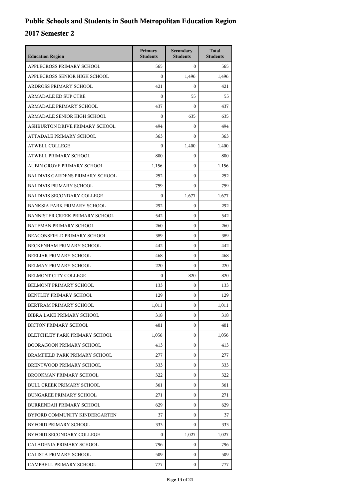| <b>Education Region</b>                | Primary<br><b>Students</b> | Secondary<br><b>Students</b> | <b>Total</b><br><b>Students</b> |
|----------------------------------------|----------------------------|------------------------------|---------------------------------|
| APPLECROSS PRIMARY SCHOOL              | 565                        | $\mathbf{0}$                 | 565                             |
| APPLECROSS SENIOR HIGH SCHOOL          | $\overline{0}$             | 1,496                        | 1,496                           |
| ARDROSS PRIMARY SCHOOL                 | 421                        | $\Omega$                     | 421                             |
| <b>ARMADALE ED SUP CTRE</b>            | 0                          | 55                           | 55                              |
| ARMADALE PRIMARY SCHOOL                | 437                        | $\Omega$                     | 437                             |
| ARMADALE SENIOR HIGH SCHOOL            | $\overline{0}$             | 635                          | 635                             |
| ASHBURTON DRIVE PRIMARY SCHOOL         | 494                        | $\boldsymbol{0}$             | 494                             |
| ATTADALE PRIMARY SCHOOL                | 363                        | $\Omega$                     | 363                             |
| <b>ATWELL COLLEGE</b>                  | $\overline{0}$             | 1,400                        | 1,400                           |
| ATWELL PRIMARY SCHOOL                  | 800                        | $\boldsymbol{0}$             | 800                             |
| AUBIN GROVE PRIMARY SCHOOL             | 1,156                      | $\mathbf{0}$                 | 1,156                           |
| <b>BALDIVIS GARDENS PRIMARY SCHOOL</b> | 252                        | $\boldsymbol{0}$             | 252                             |
| <b>BALDIVIS PRIMARY SCHOOL</b>         | 759                        | $\mathbf{0}$                 | 759                             |
| <b>BALDIVIS SECONDARY COLLEGE</b>      | $\overline{0}$             | 1,677                        | 1,677                           |
| <b>BANKSIA PARK PRIMARY SCHOOL</b>     | 292                        | $\boldsymbol{0}$             | 292                             |
| BANNISTER CREEK PRIMARY SCHOOL         | 542                        | $\mathbf{0}$                 | 542                             |
| <b>BATEMAN PRIMARY SCHOOL</b>          | 260                        | $\boldsymbol{0}$             | 260                             |
| <b>BEACONSFIELD PRIMARY SCHOOL</b>     | 389                        | $\mathbf{0}$                 | 389                             |
| BECKENHAM PRIMARY SCHOOL               | 442                        | $\mathbf{0}$                 | 442                             |
| BEELIAR PRIMARY SCHOOL                 | 468                        | $\mathbf{0}$                 | 468                             |
| BELMAY PRIMARY SCHOOL                  | 220                        | $\mathbf{0}$                 | 220                             |
| <b>BELMONT CITY COLLEGE</b>            | $\overline{0}$             | 820                          | 820                             |
| BELMONT PRIMARY SCHOOL                 | 133                        | $\mathbf{0}$                 | 133                             |
| BENTLEY PRIMARY SCHOOL                 | 129                        | $\mathbf{0}$                 | 129                             |
| BERTRAM PRIMARY SCHOOL                 | 1,011                      | $\mathbf{0}$                 | 1,011                           |
| BIBRA LAKE PRIMARY SCHOOL              | 318                        | 0                            | 318                             |
| <b>BICTON PRIMARY SCHOOL</b>           | 401                        | $\mathbf{0}$                 | 401                             |
| BLETCHLEY PARK PRIMARY SCHOOL          | 1,056                      | $\mathbf{0}$                 | 1,056                           |
| <b>BOORAGOON PRIMARY SCHOOL</b>        | 413                        | 0                            | 413                             |
| BRAMFIELD PARK PRIMARY SCHOOL          | 277                        | $\mathbf{0}$                 | 277                             |
| BRENTWOOD PRIMARY SCHOOL               | 333                        | $\mathbf{0}$                 | 333                             |
| BROOKMAN PRIMARY SCHOOL                | 322                        | $\mathbf{0}$                 | 322                             |
| <b>BULL CREEK PRIMARY SCHOOL</b>       | 361                        | $\mathbf{0}$                 | 361                             |
| <b>BUNGAREE PRIMARY SCHOOL</b>         | 271                        | 0                            | 271                             |
| BURRENDAH PRIMARY SCHOOL               | 629                        | $\mathbf{0}$                 | 629                             |
| BYFORD COMMUNITY KINDERGARTEN          | 37                         | $\mathbf{0}$                 | 37                              |
| BYFORD PRIMARY SCHOOL                  | 333                        | $\mathbf{0}$                 | 333                             |
| BYFORD SECONDARY COLLEGE               | $\mathbf{0}$               | 1,027                        | 1,027                           |
| CALADENIA PRIMARY SCHOOL               | 796                        | 0                            | 796                             |
| CALISTA PRIMARY SCHOOL                 | 509                        | 0                            | 509                             |
| CAMPBELL PRIMARY SCHOOL                | 777                        | $\mathbf{0}$                 | 777                             |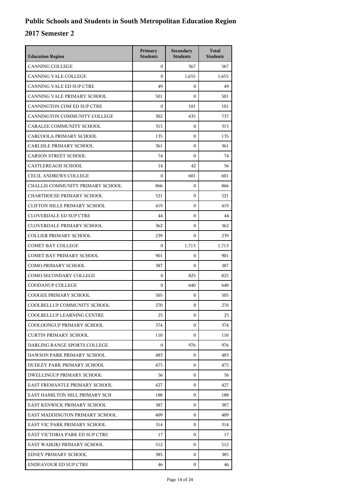| <b>Education Region</b>             | Primary<br><b>Students</b> | Secondary<br><b>Students</b> | <b>Total</b><br><b>Students</b> |
|-------------------------------------|----------------------------|------------------------------|---------------------------------|
| <b>CANNING COLLEGE</b>              | $\overline{0}$             | 567                          | 567                             |
| CANNING VALE COLLEGE                | $\theta$                   | 1,655                        | 1,655                           |
| <b>CANNING VALE ED SUP CTRE</b>     | 49                         | $\mathbf{0}$                 | 49                              |
| CANNING VALE PRIMARY SCHOOL         | 501                        | $\mathbf{0}$                 | 501                             |
| CANNINGTON COM ED SUP CTRE          | $\Omega$                   | 101                          | 101                             |
| CANNINGTON COMMUNITY COLLEGE        | 302                        | 435                          | 737                             |
| CARALEE COMMUNITY SCHOOL            | 315                        | $\mathbf{0}$                 | 315                             |
| CARCOOLA PRIMARY SCHOOL             | 135                        | $\mathbf{0}$                 | 135                             |
| CARLISLE PRIMARY SCHOOL             | 361                        | $\mathbf{0}$                 | 361                             |
| <b>CARSON STREET SCHOOL</b>         | 74                         | $\mathbf{0}$                 | 74                              |
| <b>CASTLEREAGH SCHOOL</b>           | 14                         | 42                           | 56                              |
| <b>CECIL ANDREWS COLLEGE</b>        | $\boldsymbol{0}$           | 601                          | 601                             |
| CHALLIS COMMUNITY PRIMARY SCHOOL    | 866                        | $\mathbf{0}$                 | 866                             |
| <b>CHARTHOUSE PRIMARY SCHOOL</b>    | 521                        | $\mathbf{0}$                 | 521                             |
| <b>CLIFTON HILLS PRIMARY SCHOOL</b> | 419                        | $\mathbf{0}$                 | 419                             |
| <b>CLOVERDALE ED SUP CTRE</b>       | 44                         | $\mathbf{0}$                 | 44                              |
| <b>CLOVERDALE PRIMARY SCHOOL</b>    | 362                        | $\mathbf{0}$                 | 362                             |
| <b>COLLIER PRIMARY SCHOOL</b>       | 239                        | $\mathbf{0}$                 | 239                             |
| <b>COMET BAY COLLEGE</b>            | $\boldsymbol{0}$           | 1,713                        | 1,713                           |
| <b>COMET BAY PRIMARY SCHOOL</b>     | 901                        | $\mathbf{0}$                 | 901                             |
| <b>COMO PRIMARY SCHOOL</b>          | 387                        | $\mathbf{0}$                 | 387                             |
| COMO SECONDARY COLLEGE              | $\mathbf{0}$               | 825                          | 825                             |
| COODANUP COLLEGE                    | $\mathbf{0}$               | 640                          | 640                             |
| <b>COOGEE PRIMARY SCHOOL</b>        | 505                        | $\mathbf{0}$                 | 505                             |
| COOLBELLUP COMMUNITY SCHOOL         | 270                        | $\mathbf{0}$                 | 270                             |
| COOLBELLUP LEARNING CENTRE          | 25                         | 0                            | 25                              |
| COOLOONGUP PRIMARY SCHOOL           | 374                        | 0                            | 374                             |
| <b>CURTIN PRIMARY SCHOOL</b>        | 110                        | $\mathbf{0}$                 | 110                             |
| DARLING RANGE SPORTS COLLEGE        | $\mathbf{0}$               | 976                          | 976                             |
| DAWSON PARK PRIMARY SCHOOL          | 483                        | 0                            | 483                             |
| DUDLEY PARK PRIMARY SCHOOL          | 475                        | $\mathbf{0}$                 | 475                             |
| <b>DWELLINGUP PRIMARY SCHOOL</b>    | 56                         | $\mathbf{0}$                 | 56                              |
| EAST FREMANTLE PRIMARY SCHOOL       | 427                        | $\mathbf{0}$                 | 427                             |
| EAST HAMILTON HILL PRIMARY SCH      | 188                        | 0                            | 188                             |
| EAST KENWICK PRIMARY SCHOOL         | 387                        | 0                            | 387                             |
| EAST MADDINGTON PRIMARY SCHOOL      | 409                        | 0                            | 409                             |
| EAST VIC PARK PRIMARY SCHOOL        | 314                        | $\mathbf{0}$                 | 314                             |
| EAST VICTORIA PARK ED SUP CTRE      | 17                         | $\mathbf{0}$                 | 17                              |
| EAST WAIKIKI PRIMARY SCHOOL         | 512                        | 0                            | 512                             |
| EDNEY PRIMARY SCHOOL                | 385                        | 0                            | 385                             |
| <b>ENDEAVOUR ED SUP CTRE</b>        | 46                         | 0                            | 46                              |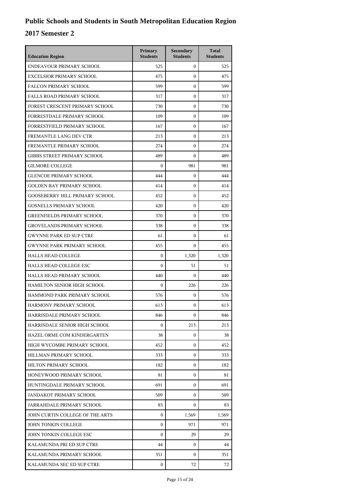| <b>Education Region</b>               | Primary<br><b>Students</b> | Secondary<br><b>Students</b> | <b>Total</b><br><b>Students</b> |
|---------------------------------------|----------------------------|------------------------------|---------------------------------|
| ENDEAVOUR PRIMARY SCHOOL              | 525                        | $\mathbf{0}$                 | 525                             |
| <b>EXCELSIOR PRIMARY SCHOOL</b>       | 475                        | $\mathbf{0}$                 | 475                             |
| <b>FALCON PRIMARY SCHOOL</b>          | 599                        | $\mathbf{0}$                 | 599                             |
| <b>FALLS ROAD PRIMARY SCHOOL</b>      | 317                        | $\mathbf{0}$                 | 317                             |
| FOREST CRESCENT PRIMARY SCHOOL        | 730                        | $\mathbf{0}$                 | 730                             |
| FORRESTDALE PRIMARY SCHOOL            | 109                        | $\mathbf{0}$                 | 109                             |
| FORRESTFIELD PRIMARY SCHOOL           | 167                        | $\mathbf{0}$                 | 167                             |
| FREMANTLE LANG DEV CTR                | 213                        | $\mathbf{0}$                 | 213                             |
| FREMANTLE PRIMARY SCHOOL              | 274                        | $\mathbf{0}$                 | 274                             |
| <b>GIBBS STREET PRIMARY SCHOOL</b>    | 489                        | $\mathbf{0}$                 | 489                             |
| <b>GILMORE COLLEGE</b>                | $\boldsymbol{0}$           | 981                          | 981                             |
| <b>GLENCOE PRIMARY SCHOOL</b>         | 444                        | $\mathbf{0}$                 | 444                             |
| <b>GOLDEN BAY PRIMARY SCHOOL</b>      | 414                        | $\mathbf{0}$                 | 414                             |
| <b>GOOSEBERRY HILL PRIMARY SCHOOL</b> | 452                        | $\mathbf{0}$                 | 452                             |
| <b>GOSNELLS PRIMARY SCHOOL</b>        | 420                        | $\mathbf{0}$                 | 420                             |
| <b>GREENFIELDS PRIMARY SCHOOL</b>     | 370                        | $\mathbf{0}$                 | 370                             |
| <b>GROVELANDS PRIMARY SCHOOL</b>      | 338                        | $\mathbf{0}$                 | 338                             |
| <b>GWYNNE PARK ED SUP CTRE</b>        | 61                         | $\mathbf{0}$                 | 61                              |
| <b>GWYNNE PARK PRIMARY SCHOOL</b>     | 455                        | $\mathbf{0}$                 | 455                             |
| <b>HALLS HEAD COLLEGE</b>             | $\boldsymbol{0}$           | 1,320                        | 1,320                           |
| HALLS HEAD COLLEGE ESC                | $\mathbf{0}$               | 51                           | 51                              |
| HALLS HEAD PRIMARY SCHOOL             | 440                        | $\boldsymbol{0}$             | 440                             |
| HAMILTON SENIOR HIGH SCHOOL           | $\mathbf{0}$               | 226                          | 226                             |
| HAMMOND PARK PRIMARY SCHOOL           | 576                        | $\mathbf{0}$                 | 576                             |
| HARMONY PRIMARY SCHOOL                | 613                        | 0                            | 613                             |
| HARRISDALE PRIMARY SCHOOL             | 846                        | 0                            | 846                             |
| HARRISDALE SENIOR HIGH SCHOOL         | $\mathbf{0}$               | 213                          | 213                             |
| HAZEL ORME COM KINDERGARTEN           | 38                         | $\mathbf{0}$                 | 38                              |
| HIGH WYCOMBE PRIMARY SCHOOL           | 452                        | 0                            | 452                             |
| HILLMAN PRIMARY SCHOOL                | 333                        | $\mathbf{0}$                 | 333                             |
| HILTON PRIMARY SCHOOL                 | 182                        | 0                            | 182                             |
| HONEYWOOD PRIMARY SCHOOL              | 81                         | $\mathbf{0}$                 | 81                              |
| HUNTINGDALE PRIMARY SCHOOL            | 691                        | 0                            | 691                             |
| JANDAKOT PRIMARY SCHOOL               | 509                        | 0                            | 509                             |
| JARRAHDALE PRIMARY SCHOOL             | 83                         | $\mathbf{0}$                 | 83                              |
| JOHN CURTIN COLLEGE OF THE ARTS       | $\mathbf{0}$               | 1,569                        | 1,569                           |
| JOHN TONKIN COLLEGE                   | $\Omega$                   | 971                          | 971                             |
| JOHN TONKIN COLLEGE ESC               | $\Omega$                   | 29                           | 29                              |
| KALAMUNDA PRI ED SUP CTRE             | 44                         | 0                            | 44                              |
| KALAMUNDA PRIMARY SCHOOL              | 351                        | $\mathbf{0}$                 | 351                             |
| KALAMUNDA SEC ED SUP CTRE             | $\mathbf{0}$               | 72                           | 72                              |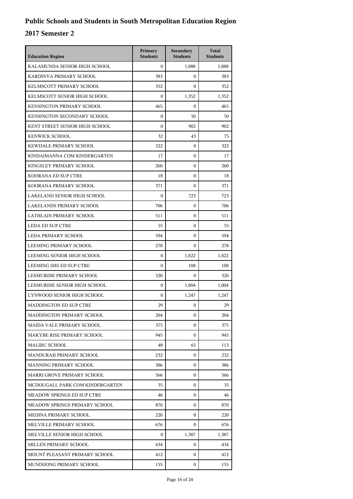| <b>Education Region</b>         | Primary<br><b>Students</b> | Secondary<br><b>Students</b> | <b>Total</b><br><b>Students</b> |
|---------------------------------|----------------------------|------------------------------|---------------------------------|
| KALAMUNDA SENIOR HIGH SCHOOL    | $\mathbf{0}$               | 1,088                        | 1,088                           |
| KARDINYA PRIMARY SCHOOL         | 383                        | 0                            | 383                             |
| KELMSCOTT PRIMARY SCHOOL        | 352                        | $\theta$                     | 352                             |
| KELMSCOTT SENIOR HIGH SCHOOL    | 0                          | 1,352                        | 1,352                           |
| KENSINGTON PRIMARY SCHOOL       | 465                        | 0                            | 465                             |
| KENSINGTON SECONDARY SCHOOL     | $\overline{0}$             | 50                           | 50                              |
| KENT STREET SENIOR HIGH SCHOOL  | $\boldsymbol{0}$           | 902                          | 902                             |
| <b>KENWICK SCHOOL</b>           | 32                         | 43                           | 75                              |
| KEWDALE PRIMARY SCHOOL          | 322                        | 0                            | 322                             |
| KINDAIMANNA COM KINDERGARTEN    | 17                         | 0                            | 17                              |
| KINGSLEY PRIMARY SCHOOL         | 260                        | $\overline{0}$               | 260                             |
| KOORANA ED SUP CTRE             | 18                         | $\overline{0}$               | 18                              |
| KOORANA PRIMARY SCHOOL          | 371                        | $\overline{0}$               | 371                             |
| LAKELAND SENIOR HIGH SCHOOL     | $\boldsymbol{0}$           | 723                          | 723                             |
| <b>LAKELANDS PRIMARY SCHOOL</b> | 706                        | 0                            | 706                             |
| LATHLAIN PRIMARY SCHOOL         | 511                        | $\overline{0}$               | 511                             |
| <b>LEDA ED SUP CTRE</b>         | 55                         | 0                            | 55                              |
| LEDA PRIMARY SCHOOL             | 594                        | $\overline{0}$               | 594                             |
| LEEMING PRIMARY SCHOOL          | 278                        | 0                            | 278                             |
| LEEMING SENIOR HIGH SCHOOL      | $\mathbf{0}$               | 1,022                        | 1,022                           |
| LEEMING SHS ED SUP CTRE         | $\boldsymbol{0}$           | 108                          | 108                             |
| LESMURDIE PRIMARY SCHOOL        | 320                        | 0                            | 320                             |
| LESMURDIE SENIOR HIGH SCHOOL    | $\mathbf{0}$               | 1,004                        | 1,004                           |
| LYNWOOD SENIOR HIGH SCHOOL      | $\boldsymbol{0}$           | 1,247                        | 1,247                           |
| <b>MADDINGTON ED SUP CTRE</b>   | 29                         | 0                            | 29                              |
| MADDINGTON PRIMARY SCHOOL       | 204                        | 0                            | 204                             |
| MAIDA VALE PRIMARY SCHOOL       | 375                        | 0                            | 375                             |
| MAKYBE RISE PRIMARY SCHOOL      | 945                        | 0                            | 945                             |
| MALIBU SCHOOL                   | 48                         | 65                           | 113                             |
| MANDURAH PRIMARY SCHOOL         | 232                        | 0                            | 232                             |
| MANNING PRIMARY SCHOOL          | 386                        | 0                            | 386                             |
| MARRI GROVE PRIMARY SCHOOL      | 566                        | 0                            | 566                             |
| MCDOUGALL PARK COM KINDERGARTEN | 35                         | 0                            | 35                              |
| MEADOW SPRINGS ED SUP CTRE      | 46                         | 0                            | 46                              |
| MEADOW SPRINGS PRIMARY SCHOOL   | 870                        | 0                            | 870                             |
| MEDINA PRIMARY SCHOOL           | 220                        | 0                            | 220                             |
| MELVILLE PRIMARY SCHOOL         | 676                        | 0                            | 676                             |
| MELVILLE SENIOR HIGH SCHOOL     | $\mathbf{0}$               | 1,387                        | 1,387                           |
| MILLEN PRIMARY SCHOOL           | 434                        | 0                            | 434                             |
| MOUNT PLEASANT PRIMARY SCHOOL   | 412                        | 0                            | 412                             |
| MUNDIJONG PRIMARY SCHOOL        | 155                        | 0                            | 155                             |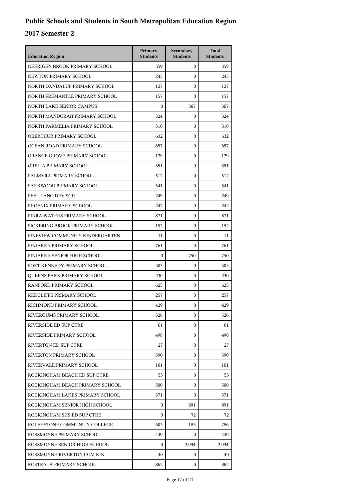| <b>Education Region</b>           | Primary<br><b>Students</b> | Secondary<br><b>Students</b> | <b>Total</b><br><b>Students</b> |
|-----------------------------------|----------------------------|------------------------------|---------------------------------|
| NEERIGEN BROOK PRIMARY SCHOOL     | 359                        | $\mathbf{0}$                 | 359                             |
| NEWTON PRIMARY SCHOOL             | 243                        | $\mathbf{0}$                 | 243                             |
| NORTH DANDALUP PRIMARY SCHOOL     | 127                        | $\boldsymbol{0}$             | 127                             |
| NORTH FREMANTLE PRIMARY SCHOOL    | 157                        | $\boldsymbol{0}$             | 157                             |
| <b>NORTH LAKE SENIOR CAMPUS</b>   | $\Omega$                   | 367                          | 367                             |
| NORTH MANDURAH PRIMARY SCHOOL     | 324                        | 0                            | 324                             |
| NORTH PARMELIA PRIMARY SCHOOL     | 310                        | $\boldsymbol{0}$             | 310                             |
| OBERTHUR PRIMARY SCHOOL           | 632                        | $\boldsymbol{0}$             | 632                             |
| OCEAN ROAD PRIMARY SCHOOL         | 657                        | $\mathbf{0}$                 | 657                             |
| ORANGE GROVE PRIMARY SCHOOL       | 129                        | $\mathbf{0}$                 | 129                             |
| ORELIA PRIMARY SCHOOL             | 351                        | $\mathbf{0}$                 | 351                             |
| PALMYRA PRIMARY SCHOOL            | 512                        | $\mathbf{0}$                 | 512                             |
| PARKWOOD PRIMARY SCHOOL           | 541                        | $\mathbf{0}$                 | 541                             |
| PEEL LANG DEV SCH                 | 249                        | $\mathbf{0}$                 | 249                             |
| PHOENIX PRIMARY SCHOOL            | 242                        | $\mathbf{0}$                 | 242                             |
| PIARA WATERS PRIMARY SCHOOL       | 871                        | $\mathbf{0}$                 | 871                             |
| PICKERING BROOK PRIMARY SCHOOL    | 152                        | $\mathbf{0}$                 | 152                             |
| PINEVIEW COMMUNITY KINDERGARTEN   | 11                         | $\mathbf{0}$                 | 11                              |
| PINJARRA PRIMARY SCHOOL           | 761                        | $\mathbf{0}$                 | 761                             |
| PINJARRA SENIOR HIGH SCHOOL       | $\Omega$                   | 750                          | 750                             |
| PORT KENNEDY PRIMARY SCHOOL       | 503                        | $\boldsymbol{0}$             | 503                             |
| <b>OUEENS PARK PRIMARY SCHOOL</b> | 230                        | $\mathbf{0}$                 | 230                             |
| RANFORD PRIMARY SCHOOL            | 625                        | $\mathbf{0}$                 | 625                             |
| REDCLIFFE PRIMARY SCHOOL          | 257                        | $\mathbf{0}$                 | 257                             |
| RICHMOND PRIMARY SCHOOL           | 429                        | $\mathbf{0}$                 | 429                             |
| RIVERGUMS PRIMARY SCHOOL          | 526                        | 0                            | 526                             |
| <b>RIVERSIDE ED SUP CTRE</b>      | 61                         | 0                            | 61                              |
| RIVERSIDE PRIMARY SCHOOL          | 498                        | $\mathbf{0}$                 | 498                             |
| RIVERTON ED SUP CTRE              | 27                         | 0                            | 27                              |
| RIVERTON PRIMARY SCHOOL           | 590                        | $\mathbf{0}$                 | 590                             |
| RIVERVALE PRIMARY SCHOOL          | 161                        | $\mathbf{0}$                 | 161                             |
| ROCKINGHAM BEACH ED SUP CTRE      | 53                         | $\mathbf{0}$                 | 53                              |
| ROCKINGHAM BEACH PRIMARY SCHOOL   | 500                        | $\mathbf{0}$                 | 500                             |
| ROCKINGHAM LAKES PRIMARY SCHOOL   | 571                        | $\mathbf{0}$                 | 571                             |
| ROCKINGHAM SENIOR HIGH SCHOOL     | $\mathbf{0}$               | 891                          | 891                             |
| ROCKINGHAM SHS ED SUP CTRE        | $\overline{0}$             | 72                           | 72                              |
| ROLEYSTONE COMMUNITY COLLEGE      | 603                        | 183                          | 786                             |
| ROSSMOYNE PRIMARY SCHOOL          | 449                        | $\mathbf{0}$                 | 449                             |
| ROSSMOYNE SENIOR HIGH SCHOOL      | $\Omega$                   | 2,094                        | 2,094                           |
| ROSSMOYNE-RIVERTON COM KIN        | 40                         | $\mathbf{0}$                 | 40                              |
| ROSTRATA PRIMARY SCHOOL           | 862                        | $\mathbf{0}$                 | 862                             |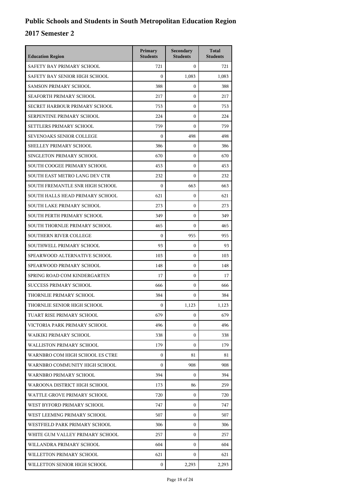| <b>Education Region</b>         | Primary<br><b>Students</b> | Secondary<br><b>Students</b> | <b>Total</b><br><b>Students</b> |
|---------------------------------|----------------------------|------------------------------|---------------------------------|
| SAFETY BAY PRIMARY SCHOOL       | 721                        | $\mathbf{0}$                 | 721                             |
| SAFETY BAY SENIOR HIGH SCHOOL   | $\mathbf{0}$               | 1,083                        | 1,083                           |
| <b>SAMSON PRIMARY SCHOOL</b>    | 388                        | $\mathbf{0}$                 | 388                             |
| SEAFORTH PRIMARY SCHOOL         | 217                        | $\mathbf{0}$                 | 217                             |
| SECRET HARBOUR PRIMARY SCHOOL   | 753                        | $\mathbf{0}$                 | 753                             |
| SERPENTINE PRIMARY SCHOOL       | 224                        | $\mathbf{0}$                 | 224                             |
| SETTLERS PRIMARY SCHOOL         | 759                        | $\mathbf{0}$                 | 759                             |
| SEVENOAKS SENIOR COLLEGE        | $\mathbf{0}$               | 498                          | 498                             |
| SHELLEY PRIMARY SCHOOL          | 386                        | $\mathbf{0}$                 | 386                             |
| SINGLETON PRIMARY SCHOOL        | 670                        | $\mathbf{0}$                 | 670                             |
| SOUTH COOGEE PRIMARY SCHOOL     | 453                        | $\mathbf{0}$                 | 453                             |
| SOUTH EAST METRO LANG DEV CTR   | 232                        | $\mathbf{0}$                 | 232                             |
| SOUTH FREMANTLE SNR HIGH SCHOOL | $\mathbf{0}$               | 663                          | 663                             |
| SOUTH HALLS HEAD PRIMARY SCHOOL | 621                        | 0                            | 621                             |
| SOUTH LAKE PRIMARY SCHOOL       | 273                        | $\mathbf{0}$                 | 273                             |
| SOUTH PERTH PRIMARY SCHOOL      | 349                        | $\mathbf{0}$                 | 349                             |
| SOUTH THORNLIE PRIMARY SCHOOL   | 465                        | $\mathbf{0}$                 | 465                             |
| <b>SOUTHERN RIVER COLLEGE</b>   | $\mathbf{0}$               | 955                          | 955                             |
| SOUTHWELL PRIMARY SCHOOL        | 93                         | $\mathbf{0}$                 | 93                              |
| SPEARWOOD ALTERNATIVE SCHOOL    | 103                        | $\mathbf{0}$                 | 103                             |
| SPEARWOOD PRIMARY SCHOOL        | 148                        | $\mathbf{0}$                 | 148                             |
| SPRING ROAD COM KINDERGARTEN    | 17                         | $\mathbf{0}$                 | 17                              |
| <b>SUCCESS PRIMARY SCHOOL</b>   | 666                        | $\mathbf{0}$                 | 666                             |
| THORNLIE PRIMARY SCHOOL         | 384                        | $\mathbf{0}$                 | 384                             |
| THORNLIE SENIOR HIGH SCHOOL     | $\mathbf{0}$               | 1,123                        | 1,123                           |
| TUART RISE PRIMARY SCHOOL       | 679                        | 0                            | 679                             |
| VICTORIA PARK PRIMARY SCHOOL    | 496                        | $\mathbf{0}$                 | 496                             |
| WAIKIKI PRIMARY SCHOOL          | 338                        | $\mathbf{0}$                 | 338                             |
| <b>WALLISTON PRIMARY SCHOOL</b> | 179                        | $\mathbf{0}$                 | 179                             |
| WARNBRO COM HIGH SCHOOL ES CTRE | $\mathbf{0}$               | 81                           | 81                              |
| WARNBRO COMMUNITY HIGH SCHOOL   | $\mathbf{0}$               | 908                          | 908                             |
| <b>WARNBRO PRIMARY SCHOOL</b>   | 394                        | $\mathbf{0}$                 | 394                             |
| WAROONA DISTRICT HIGH SCHOOL    | 173                        | 86                           | 259                             |
| WATTLE GROVE PRIMARY SCHOOL     | 720                        | 0                            | 720                             |
| WEST BYFORD PRIMARY SCHOOL      | 747                        | $\mathbf{0}$                 | 747                             |
| WEST LEEMING PRIMARY SCHOOL     | 507                        | $\mathbf{0}$                 | 507                             |
| WESTFIELD PARK PRIMARY SCHOOL   | 306                        | $\mathbf{0}$                 | 306                             |
| WHITE GUM VALLEY PRIMARY SCHOOL | 257                        | $\mathbf{0}$                 | 257                             |
| WILLANDRA PRIMARY SCHOOL        | 604                        | $\mathbf{0}$                 | 604                             |
| WILLETTON PRIMARY SCHOOL        | 621                        | $\mathbf{0}$                 | 621                             |
| WILLETTON SENIOR HIGH SCHOOL    | $\mathbf{0}$               | 2,293                        | 2,293                           |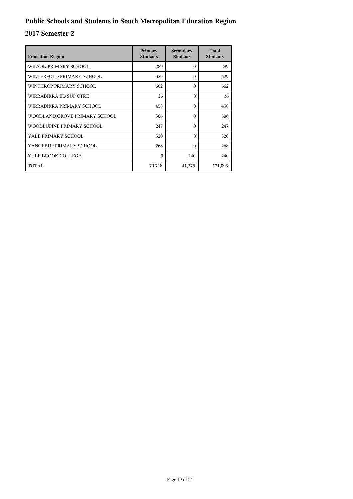| <b>Education Region</b>       | Primary<br><b>Students</b> | Secondary<br><b>Students</b> | <b>Total</b><br><b>Students</b> |
|-------------------------------|----------------------------|------------------------------|---------------------------------|
| WILSON PRIMARY SCHOOL         | 289                        | $\Omega$                     | 289                             |
| WINTERFOLD PRIMARY SCHOOL     | 329                        | $\Omega$                     | 329                             |
| WINTHROP PRIMARY SCHOOL       | 662                        | $\Omega$                     | 662                             |
| WIRRABIRRA ED SUP CTRE        | 36                         | $\Omega$                     | 36                              |
| WIRRABIRRA PRIMARY SCHOOL     | 458                        | $\Omega$                     | 458                             |
| WOODLAND GROVE PRIMARY SCHOOL | 506                        | $\Omega$                     | 506                             |
| WOODLUPINE PRIMARY SCHOOL     | 247                        | $\Omega$                     | 247                             |
| YALE PRIMARY SCHOOL           | 520                        | $\Omega$                     | 520                             |
| YANGEBUP PRIMARY SCHOOL       | 268                        | $\Omega$                     | 268                             |
| YULE BROOK COLLEGE            | $\Omega$                   | 240                          | 240                             |
| TOTAL                         | 79,718                     | 41,375                       | 121,093                         |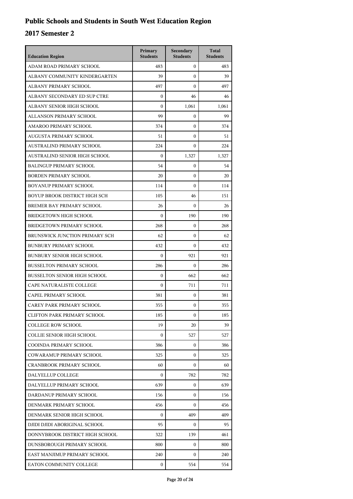| <b>Education Region</b>              | Primary<br><b>Students</b> | Secondary<br><b>Students</b> | <b>Total</b><br><b>Students</b> |
|--------------------------------------|----------------------------|------------------------------|---------------------------------|
| ADAM ROAD PRIMARY SCHOOL             | 483                        | $\overline{0}$               | 483                             |
| ALBANY COMMUNITY KINDERGARTEN        | 39                         | $\mathbf{0}$                 | 39                              |
| ALBANY PRIMARY SCHOOL                | 497                        | $\mathbf{0}$                 | 497                             |
| ALBANY SECONDARY ED SUP CTRE         | $\mathbf{0}$               | 46                           | 46                              |
| ALBANY SENIOR HIGH SCHOOL            | $\mathbf{0}$               | 1,061                        | 1,061                           |
| ALLANSON PRIMARY SCHOOL              | 99                         | $\mathbf{0}$                 | 99                              |
| AMAROO PRIMARY SCHOOL                | 374                        | $\mathbf{0}$                 | 374                             |
| AUGUSTA PRIMARY SCHOOL               | 51                         | $\mathbf{0}$                 | 51                              |
| AUSTRALIND PRIMARY SCHOOL            | 224                        | $\mathbf{0}$                 | 224                             |
| AUSTRALIND SENIOR HIGH SCHOOL        | $\mathbf{0}$               | 1,327                        | 1,327                           |
| <b>BALINGUP PRIMARY SCHOOL</b>       | 54                         | $\mathbf{0}$                 | 54                              |
| <b>BORDEN PRIMARY SCHOOL</b>         | 20                         | $\mathbf{0}$                 | 20                              |
| BOYANUP PRIMARY SCHOOL               | 114                        | $\mathbf{0}$                 | 114                             |
| <b>BOYUP BROOK DISTRICT HIGH SCH</b> | 105                        | 46                           | 151                             |
| BREMER BAY PRIMARY SCHOOL            | 26                         | $\Omega$                     | 26                              |
| <b>BRIDGETOWN HIGH SCHOOL</b>        | $\mathbf{0}$               | 190                          | 190                             |
| BRIDGETOWN PRIMARY SCHOOL            | 268                        | $\mathbf{0}$                 | 268                             |
| BRUNSWICK JUNCTION PRIMARY SCH       | 62                         | $\mathbf{0}$                 | 62                              |
| <b>BUNBURY PRIMARY SCHOOL</b>        | 432                        | $\mathbf{0}$                 | 432                             |
| <b>BUNBURY SENIOR HIGH SCHOOL</b>    | $\mathbf{0}$               | 921                          | 921                             |
| <b>BUSSELTON PRIMARY SCHOOL</b>      | 286                        | $\mathbf{0}$                 | 286                             |
| <b>BUSSELTON SENIOR HIGH SCHOOL</b>  | $\mathbf{0}$               | 662                          | 662                             |
| CAPE NATURALISTE COLLEGE             | $\mathbf{0}$               | 711                          | 711                             |
| CAPEL PRIMARY SCHOOL                 | 381                        | $\mathbf{0}$                 | 381                             |
| CAREY PARK PRIMARY SCHOOL            | 355                        | $\mathbf{0}$                 | 355                             |
| <b>CLIFTON PARK PRIMARY SCHOOL</b>   | 185                        | 0                            | 185                             |
| <b>COLLEGE ROW SCHOOL</b>            | 19                         | 20                           | 39                              |
| COLLIE SENIOR HIGH SCHOOL            | $\mathbf{0}$               | 527                          | 527                             |
| COOINDA PRIMARY SCHOOL               | 386                        | $\mathbf{0}$                 | 386                             |
| COWARAMUP PRIMARY SCHOOL             | 325                        | $\Omega$                     | 325                             |
| <b>CRANBROOK PRIMARY SCHOOL</b>      | 60                         | $\Omega$                     | 60                              |
| DALYELLUP COLLEGE                    | $\mathbf{0}$               | 782                          | 782                             |
| DALYELLUP PRIMARY SCHOOL             | 639                        | $\mathbf{0}$                 | 639                             |
| DARDANUP PRIMARY SCHOOL              | 156                        | $\mathbf{0}$                 | 156                             |
| DENMARK PRIMARY SCHOOL               | 456                        | $\Omega$                     | 456                             |
| DENMARK SENIOR HIGH SCHOOL           | $\mathbf{0}$               | 409                          | 409                             |
| DJIDI DJIDI ABORIGINAL SCHOOL        | 95                         | $\mathbf{0}$                 | 95                              |
| DONNYBROOK DISTRICT HIGH SCHOOL      | 322                        | 139                          | 461                             |
| DUNSBOROUGH PRIMARY SCHOOL           | 800                        | $\mathbf{0}$                 | 800                             |
| EAST MANJIMUP PRIMARY SCHOOL         | 240                        | $\Omega$                     | 240                             |
| EATON COMMUNITY COLLEGE              | $\mathbf{0}$               | 554                          | 554                             |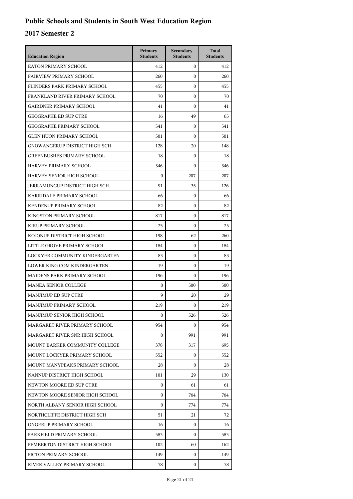| <b>Education Region</b>           | Primary<br><b>Students</b> | Secondary<br><b>Students</b> | <b>Total</b><br><b>Students</b> |
|-----------------------------------|----------------------------|------------------------------|---------------------------------|
| EATON PRIMARY SCHOOL              | 412                        | $\mathbf{0}$                 | 412                             |
| <b>FAIRVIEW PRIMARY SCHOOL</b>    | 260                        | $\mathbf{0}$                 | 260                             |
| FLINDERS PARK PRIMARY SCHOOL      | 455                        | $\mathbf{0}$                 | 455                             |
| FRANKLAND RIVER PRIMARY SCHOOL    | 70                         | $\mathbf{0}$                 | 70                              |
| GAIRDNER PRIMARY SCHOOL           | 41                         | $\mathbf{0}$                 | 41                              |
| <b>GEOGRAPHE ED SUP CTRE</b>      | 16                         | 49                           | 65                              |
| <b>GEOGRAPHE PRIMARY SCHOOL</b>   | 541                        | $\mathbf{0}$                 | 541                             |
| <b>GLEN HUON PRIMARY SCHOOL</b>   | 501                        | $\mathbf{0}$                 | 501                             |
| GNOWANGERUP DISTRICT HIGH SCH     | 128                        | 20                           | 148                             |
| <b>GREENBUSHES PRIMARY SCHOOL</b> | 18                         | $\mathbf{0}$                 | 18                              |
| HARVEY PRIMARY SCHOOL             | 346                        | $\mathbf{0}$                 | 346                             |
| HARVEY SENIOR HIGH SCHOOL         | $\boldsymbol{0}$           | 207                          | 207                             |
| JERRAMUNGUP DISTRICT HIGH SCH     | 91                         | 35                           | 126                             |
| KARRIDALE PRIMARY SCHOOL          | 66                         | $\mathbf{0}$                 | 66                              |
| KENDENUP PRIMARY SCHOOL           | 82                         | $\mathbf{0}$                 | 82                              |
| KINGSTON PRIMARY SCHOOL           | 817                        | $\mathbf{0}$                 | 817                             |
| KIRUP PRIMARY SCHOOL              | 25                         | $\mathbf{0}$                 | 25                              |
| KOJONUP DISTRICT HIGH SCHOOL      | 198                        | 62                           | 260                             |
| LITTLE GROVE PRIMARY SCHOOL       | 184                        | $\mathbf{0}$                 | 184                             |
| LOCKYER COMMUNITY KINDERGARTEN    | 83                         | $\mathbf{0}$                 | 83                              |
| LOWER KING COM KINDERGARTEN       | 19                         | $\mathbf{0}$                 | 19                              |
| MAIDENS PARK PRIMARY SCHOOL       | 196                        | $\mathbf{0}$                 | 196                             |
| <b>MANEA SENIOR COLLEGE</b>       | $\mathbf{0}$               | 500                          | 500                             |
| MANJIMUP ED SUP CTRE              | 9                          | 20                           | 29                              |
| MANJIMUP PRIMARY SCHOOL           | 219                        | $\mathbf{0}$                 | 219                             |
| MANJIMUP SENIOR HIGH SCHOOL       | $\boldsymbol{0}$           | 526                          | 526                             |
| MARGARET RIVER PRIMARY SCHOOL     | 954                        | 0                            | 954                             |
| MARGARET RIVER SNR HIGH SCHOOL    | $\boldsymbol{0}$           | 991                          | 991                             |
| MOUNT BARKER COMMUNITY COLLEGE    | 378                        | 317                          | 695                             |
| MOUNT LOCKYER PRIMARY SCHOOL      | 552                        | 0                            | 552                             |
| MOUNT MANYPEAKS PRIMARY SCHOOL    | 28                         | 0                            | 28                              |
| NANNUP DISTRICT HIGH SCHOOL       | 101                        | 29                           | 130                             |
| NEWTON MOORE ED SUP CTRE          | $\mathbf{0}$               | 61                           | 61                              |
| NEWTON MOORE SENIOR HIGH SCHOOL   | $\boldsymbol{0}$           | 764                          | 764                             |
| NORTH ALBANY SENIOR HIGH SCHOOL   | $\boldsymbol{0}$           | 774                          | 774                             |
| NORTHCLIFFE DISTRICT HIGH SCH     | 51                         | 21                           | 72                              |
| ONGERUP PRIMARY SCHOOL            | 16                         | $\mathbf{0}$                 | 16                              |
| PARKFIELD PRIMARY SCHOOL          | 583                        | $\Omega$                     | 583                             |
| PEMBERTON DISTRICT HIGH SCHOOL    | 102                        | 60                           | 162                             |
| PICTON PRIMARY SCHOOL             | 149                        | 0                            | 149                             |
| RIVER VALLEY PRIMARY SCHOOL       | 78                         | $\mathbf{0}$                 | 78                              |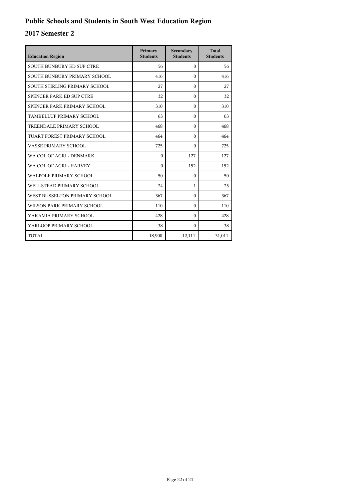| <b>Education Region</b>       | Primary<br><b>Students</b> | Secondary<br><b>Students</b> | <b>Total</b><br><b>Students</b> |
|-------------------------------|----------------------------|------------------------------|---------------------------------|
| SOUTH BUNBURY ED SUP CTRE     | 56                         | $\theta$                     | 56                              |
| SOUTH BUNBURY PRIMARY SCHOOL  | 416                        | $\Omega$                     | 416                             |
| SOUTH STIRLING PRIMARY SCHOOL | 27                         | $\Omega$                     | 27                              |
| SPENCER PARK ED SUP CTRE      | 32                         | $\theta$                     | 32                              |
| SPENCER PARK PRIMARY SCHOOL   | 310                        | $\Omega$                     | 310                             |
| TAMBELLUP PRIMARY SCHOOL      | 63                         | $\Omega$                     | 63                              |
| TREENDALE PRIMARY SCHOOL      | 468                        | $\Omega$                     | 468                             |
| TUART FOREST PRIMARY SCHOOL   | 464                        | $\Omega$                     | 464                             |
| VASSE PRIMARY SCHOOL          | 725                        | $\Omega$                     | 725                             |
| WA COL OF AGRI - DENMARK      | $\theta$                   | 127                          | 127                             |
| WA COL OF AGRI - HARVEY       | $\theta$                   | 152                          | 152                             |
| <b>WALPOLE PRIMARY SCHOOL</b> | 50                         | $\Omega$                     | 50                              |
| WELLSTEAD PRIMARY SCHOOL      | 24                         | $\mathbf{1}$                 | 25                              |
| WEST BUSSELTON PRIMARY SCHOOL | 367                        | $\theta$                     | 367                             |
| WILSON PARK PRIMARY SCHOOL    | 110                        | $\Omega$                     | 110                             |
| YAKAMIA PRIMARY SCHOOL        | 428                        | $\Omega$                     | 428                             |
| YARLOOP PRIMARY SCHOOL        | 38                         | $\Omega$                     | 38                              |
| TOTAL                         | 18,900                     | 12,111                       | 31,011                          |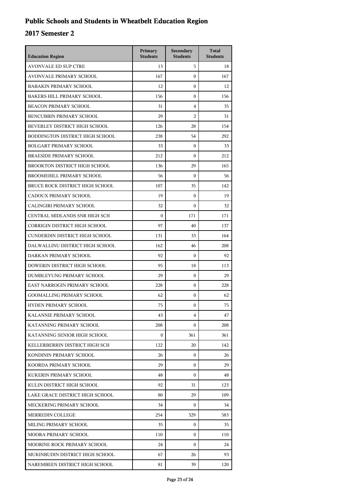## **Public Schools and Students in Wheatbelt Education Region**

| <b>Education Region</b>           | Primary<br><b>Students</b> | Secondary<br><b>Students</b> | <b>Total</b><br><b>Students</b> |
|-----------------------------------|----------------------------|------------------------------|---------------------------------|
| <b>AVONVALE ED SUP CTRE</b>       | 13                         | 5                            | 18                              |
| AVONVALE PRIMARY SCHOOL           | 167                        | $\mathbf{0}$                 | 167                             |
| <b>BABAKIN PRIMARY SCHOOL</b>     | 12                         | $\mathbf{0}$                 | 12                              |
| <b>BAKERS HILL PRIMARY SCHOOL</b> | 156                        | $\mathbf{0}$                 | 156                             |
| <b>BEACON PRIMARY SCHOOL</b>      | 31                         | 4                            | 35                              |
| <b>BENCUBBIN PRIMARY SCHOOL</b>   | 29                         | $\overline{2}$               | 31                              |
| BEVERLEY DISTRICT HIGH SCHOOL     | 126                        | 28                           | 154                             |
| BODDINGTON DISTRICT HIGH SCHOOL   | 238                        | 54                           | 292                             |
| <b>BOLGART PRIMARY SCHOOL</b>     | 33                         | $\mathbf{0}$                 | 33                              |
| <b>BRAESIDE PRIMARY SCHOOL</b>    | 212                        | $\mathbf{0}$                 | 212                             |
| BROOKTON DISTRICT HIGH SCHOOL     | 136                        | 29                           | 165                             |
| BROOMEHILL PRIMARY SCHOOL         | 56                         | $\theta$                     | 56                              |
| BRUCE ROCK DISTRICT HIGH SCHOOL   | 107                        | 35                           | 142                             |
| CADOUX PRIMARY SCHOOL             | 19                         | $\mathbf{0}$                 | 19                              |
| CALINGIRI PRIMARY SCHOOL          | 32                         | $\mathbf{0}$                 | 32                              |
| CENTRAL MIDLANDS SNR HIGH SCH     | $\mathbf{0}$               | 171                          | 171                             |
| CORRIGIN DISTRICT HIGH SCHOOL     | 97                         | 40                           | 137                             |
| CUNDERDIN DISTRICT HIGH SCHOOL    | 131                        | 33                           | 164                             |
| DALWALLINU DISTRICT HIGH SCHOOL   | 162                        | 46                           | 208                             |
| DARKAN PRIMARY SCHOOL             | 92                         | $\boldsymbol{0}$             | 92                              |
| DOWERIN DISTRICT HIGH SCHOOL      | 95                         | 18                           | 113                             |
| DUMBLEYUNG PRIMARY SCHOOL         | 29                         | $\mathbf{0}$                 | 29                              |
| EAST NARROGIN PRIMARY SCHOOL      | 228                        | $\boldsymbol{0}$             | 228                             |
| <b>GOOMALLING PRIMARY SCHOOL</b>  | 62                         | $\boldsymbol{0}$             | 62                              |
| <b>HYDEN PRIMARY SCHOOL</b>       | 75                         | $\boldsymbol{0}$             | 75                              |
| KALANNIE PRIMARY SCHOOL           | 43                         | 4                            | 47                              |
| KATANNING PRIMARY SCHOOL          | 208                        | $\Omega$                     | 208                             |
| KATANNING SENIOR HIGH SCHOOL      | $\mathbf{0}$               | 361                          | 361                             |
| KELLERBERRIN DISTRICT HIGH SCH    | 122                        | 20                           | 142                             |
| KONDININ PRIMARY SCHOOL           | 26                         | $\mathbf{0}$                 | 26                              |
| KOORDA PRIMARY SCHOOL             | 29                         | $\Omega$                     | 29                              |
| KUKERIN PRIMARY SCHOOL            | 48                         | $\Omega$                     | 48                              |
| KULIN DISTRICT HIGH SCHOOL        | 92                         | 31                           | 123                             |
| LAKE GRACE DISTRICT HIGH SCHOOL   | 80                         | 29                           | 109                             |
| MECKERING PRIMARY SCHOOL          | 34                         | $\mathbf{0}$                 | 34                              |
| MERREDIN COLLEGE                  | 254                        | 329                          | 583                             |
| MILING PRIMARY SCHOOL             | 35                         | 0                            | 35                              |
| MOORA PRIMARY SCHOOL              | 110                        | $\Omega$                     | 110                             |
| MOORINE ROCK PRIMARY SCHOOL       | 24                         | $\mathbf{0}$                 | 24                              |
| MUKINBUDIN DISTRICT HIGH SCHOOL   | 67                         | 26                           | 93                              |
| NAREMBEEN DISTRICT HIGH SCHOOL    | 81                         | 39                           | 120                             |